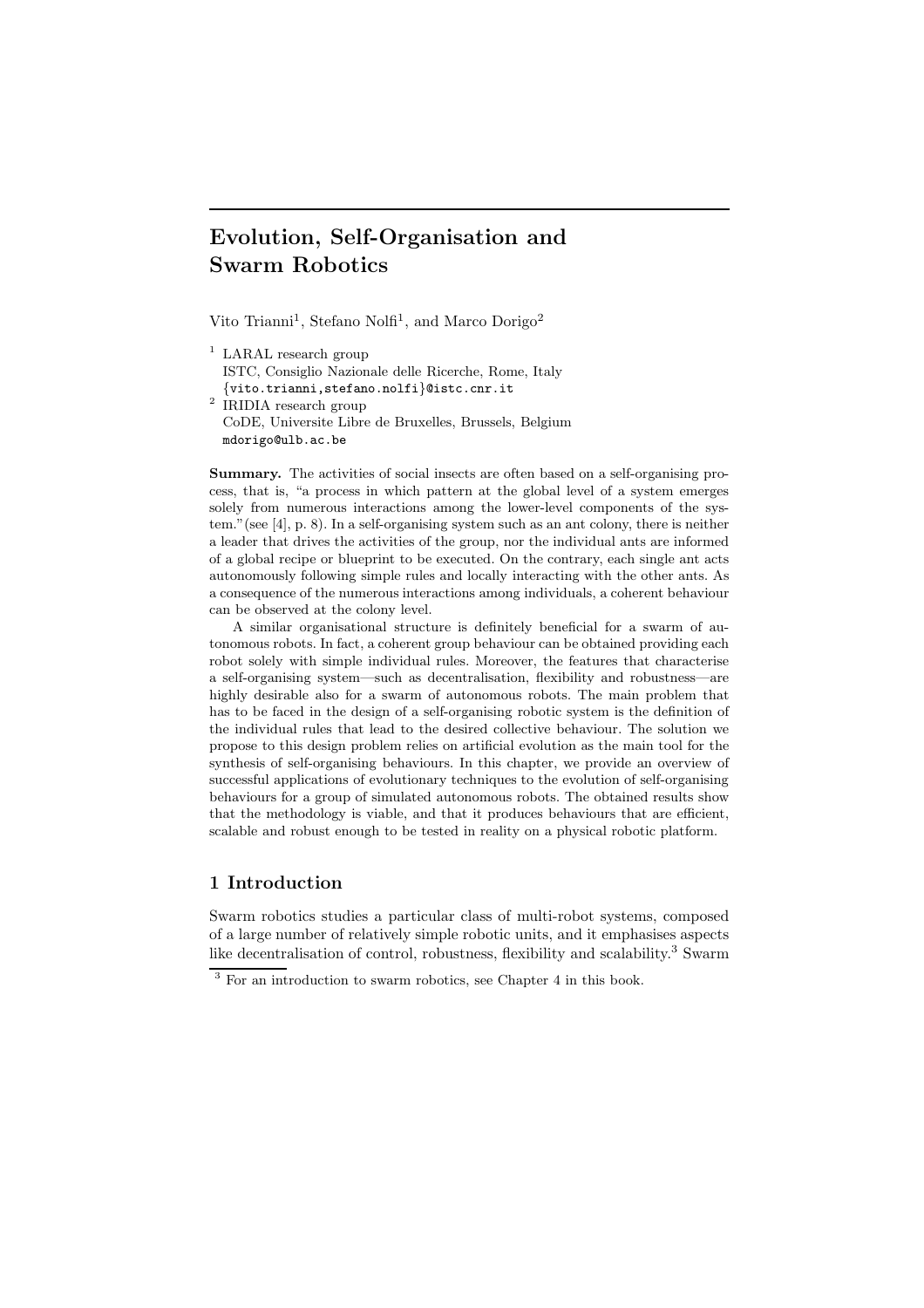# Evolution, Self-Organisation and Swarm Robotics

Vito Trianni<sup>1</sup>, Stefano Nolfi<sup>1</sup>, and Marco Dorigo<sup>2</sup>

<sup>1</sup> LARAL research group ISTC, Consiglio Nazionale delle Ricerche, Rome, Italy {vito.trianni,stefano.nolfi}@istc.cnr.it <sup>2</sup> IRIDIA research group CoDE, Universite Libre de Bruxelles, Brussels, Belgium mdorigo@ulb.ac.be

Summary. The activities of social insects are often based on a self-organising process, that is, "a process in which pattern at the global level of a system emerges solely from numerous interactions among the lower-level components of the system."(see [4], p. 8). In a self-organising system such as an ant colony, there is neither a leader that drives the activities of the group, nor the individual ants are informed of a global recipe or blueprint to be executed. On the contrary, each single ant acts autonomously following simple rules and locally interacting with the other ants. As a consequence of the numerous interactions among individuals, a coherent behaviour can be observed at the colony level.

A similar organisational structure is definitely beneficial for a swarm of autonomous robots. In fact, a coherent group behaviour can be obtained providing each robot solely with simple individual rules. Moreover, the features that characterise a self-organising system—such as decentralisation, flexibility and robustness—are highly desirable also for a swarm of autonomous robots. The main problem that has to be faced in the design of a self-organising robotic system is the definition of the individual rules that lead to the desired collective behaviour. The solution we propose to this design problem relies on artificial evolution as the main tool for the synthesis of self-organising behaviours. In this chapter, we provide an overview of successful applications of evolutionary techniques to the evolution of self-organising behaviours for a group of simulated autonomous robots. The obtained results show that the methodology is viable, and that it produces behaviours that are efficient, scalable and robust enough to be tested in reality on a physical robotic platform.

# 1 Introduction

Swarm robotics studies a particular class of multi-robot systems, composed of a large number of relatively simple robotic units, and it emphasises aspects like decentralisation of control, robustness, flexibility and scalability.<sup>3</sup> Swarm

 $3$  For an introduction to swarm robotics, see Chapter 4 in this book.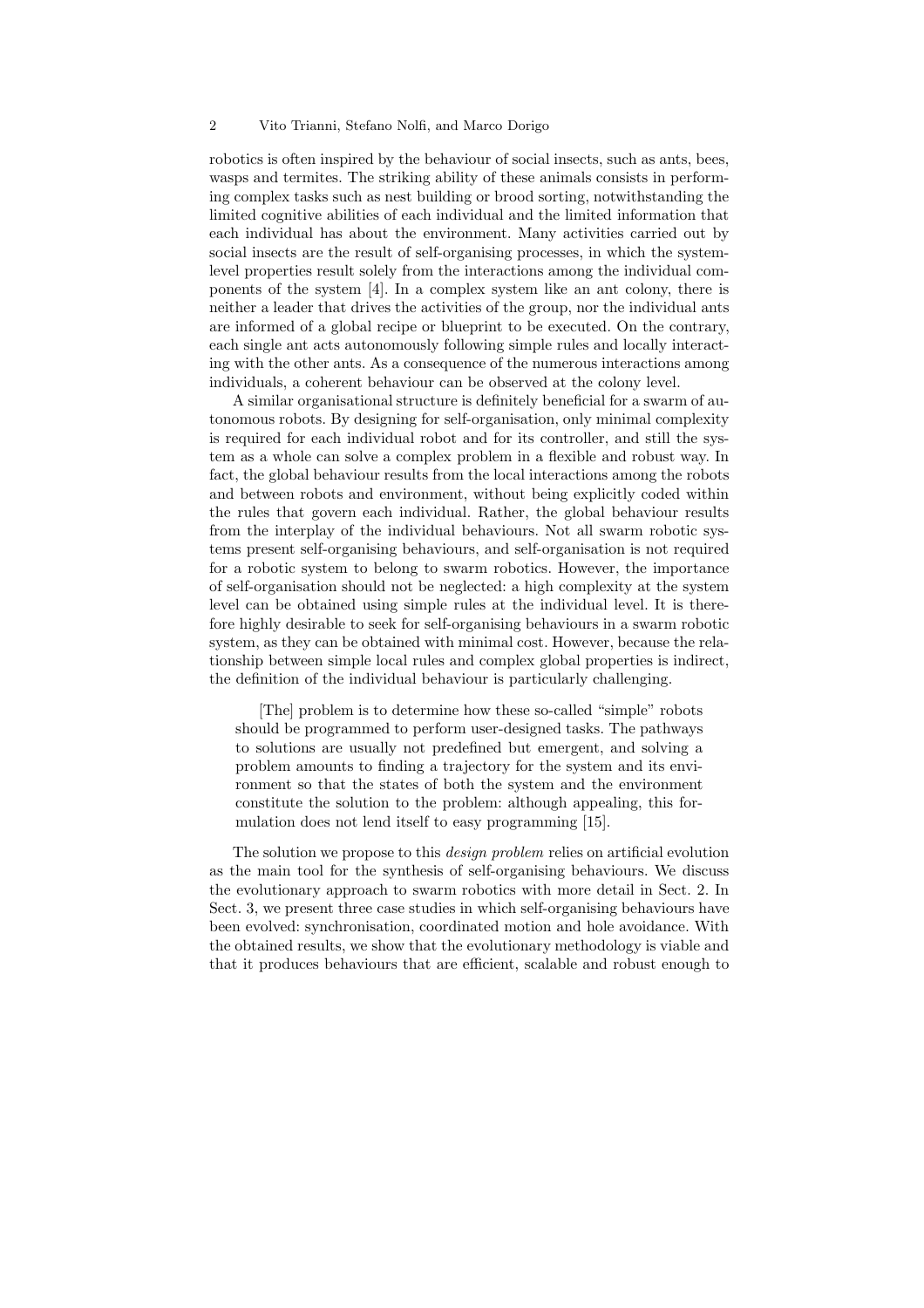robotics is often inspired by the behaviour of social insects, such as ants, bees, wasps and termites. The striking ability of these animals consists in performing complex tasks such as nest building or brood sorting, notwithstanding the limited cognitive abilities of each individual and the limited information that each individual has about the environment. Many activities carried out by social insects are the result of self-organising processes, in which the systemlevel properties result solely from the interactions among the individual components of the system [4]. In a complex system like an ant colony, there is neither a leader that drives the activities of the group, nor the individual ants are informed of a global recipe or blueprint to be executed. On the contrary, each single ant acts autonomously following simple rules and locally interacting with the other ants. As a consequence of the numerous interactions among individuals, a coherent behaviour can be observed at the colony level.

A similar organisational structure is definitely beneficial for a swarm of autonomous robots. By designing for self-organisation, only minimal complexity is required for each individual robot and for its controller, and still the system as a whole can solve a complex problem in a flexible and robust way. In fact, the global behaviour results from the local interactions among the robots and between robots and environment, without being explicitly coded within the rules that govern each individual. Rather, the global behaviour results from the interplay of the individual behaviours. Not all swarm robotic systems present self-organising behaviours, and self-organisation is not required for a robotic system to belong to swarm robotics. However, the importance of self-organisation should not be neglected: a high complexity at the system level can be obtained using simple rules at the individual level. It is therefore highly desirable to seek for self-organising behaviours in a swarm robotic system, as they can be obtained with minimal cost. However, because the relationship between simple local rules and complex global properties is indirect, the definition of the individual behaviour is particularly challenging.

[The] problem is to determine how these so-called "simple" robots should be programmed to perform user-designed tasks. The pathways to solutions are usually not predefined but emergent, and solving a problem amounts to finding a trajectory for the system and its environment so that the states of both the system and the environment constitute the solution to the problem: although appealing, this formulation does not lend itself to easy programming [15].

The solution we propose to this design problem relies on artificial evolution as the main tool for the synthesis of self-organising behaviours. We discuss the evolutionary approach to swarm robotics with more detail in Sect. 2. In Sect. 3, we present three case studies in which self-organising behaviours have been evolved: synchronisation, coordinated motion and hole avoidance. With the obtained results, we show that the evolutionary methodology is viable and that it produces behaviours that are efficient, scalable and robust enough to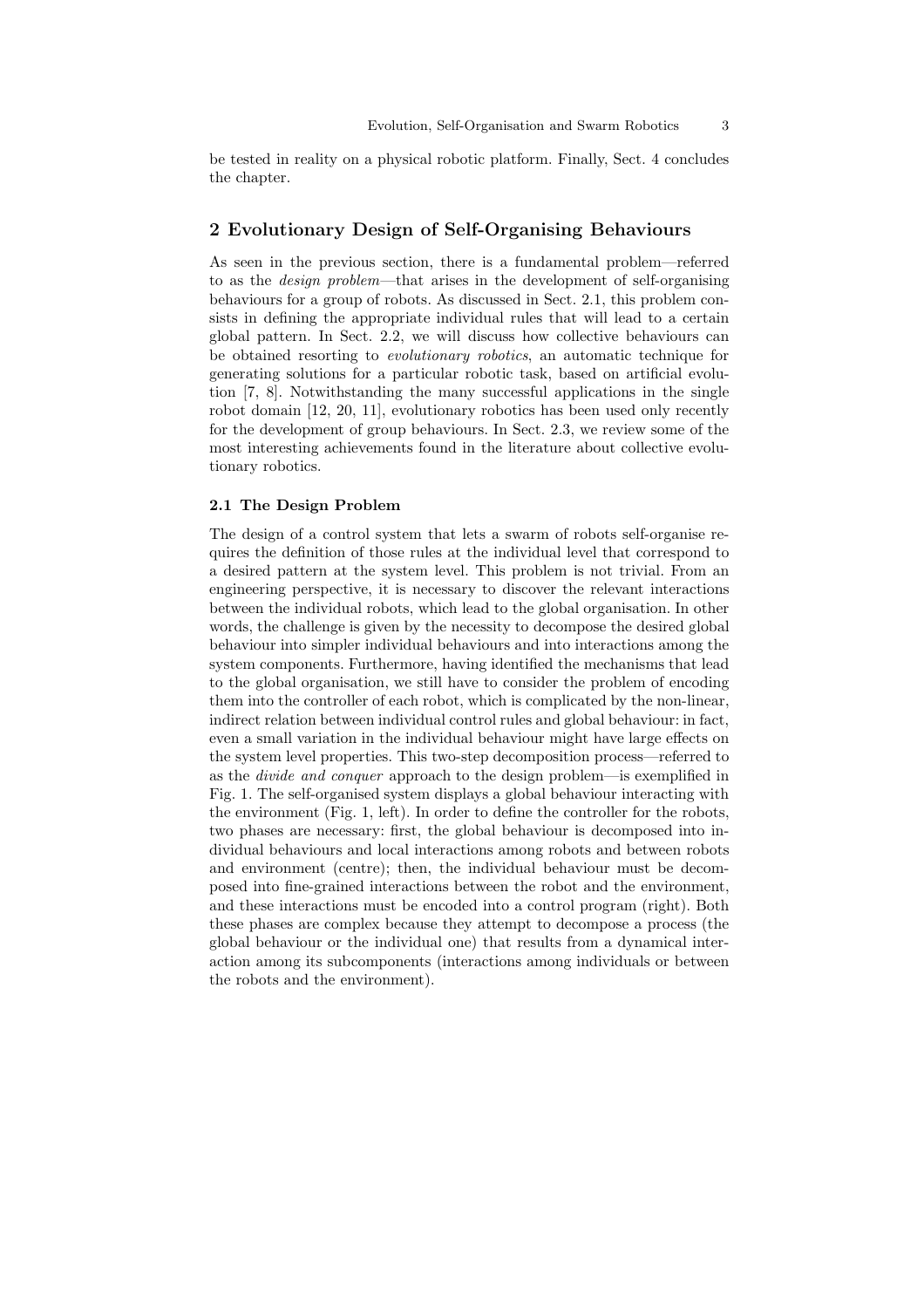be tested in reality on a physical robotic platform. Finally, Sect. 4 concludes the chapter.

# 2 Evolutionary Design of Self-Organising Behaviours

As seen in the previous section, there is a fundamental problem—referred to as the design problem—that arises in the development of self-organising behaviours for a group of robots. As discussed in Sect. 2.1, this problem consists in defining the appropriate individual rules that will lead to a certain global pattern. In Sect. 2.2, we will discuss how collective behaviours can be obtained resorting to evolutionary robotics, an automatic technique for generating solutions for a particular robotic task, based on artificial evolution [7, 8]. Notwithstanding the many successful applications in the single robot domain [12, 20, 11], evolutionary robotics has been used only recently for the development of group behaviours. In Sect. 2.3, we review some of the most interesting achievements found in the literature about collective evolutionary robotics.

# 2.1 The Design Problem

The design of a control system that lets a swarm of robots self-organise requires the definition of those rules at the individual level that correspond to a desired pattern at the system level. This problem is not trivial. From an engineering perspective, it is necessary to discover the relevant interactions between the individual robots, which lead to the global organisation. In other words, the challenge is given by the necessity to decompose the desired global behaviour into simpler individual behaviours and into interactions among the system components. Furthermore, having identified the mechanisms that lead to the global organisation, we still have to consider the problem of encoding them into the controller of each robot, which is complicated by the non-linear, indirect relation between individual control rules and global behaviour: in fact, even a small variation in the individual behaviour might have large effects on the system level properties. This two-step decomposition process—referred to as the divide and conquer approach to the design problem—is exemplified in Fig. 1. The self-organised system displays a global behaviour interacting with the environment (Fig. 1, left). In order to define the controller for the robots, two phases are necessary: first, the global behaviour is decomposed into individual behaviours and local interactions among robots and between robots and environment (centre); then, the individual behaviour must be decomposed into fine-grained interactions between the robot and the environment, and these interactions must be encoded into a control program (right). Both these phases are complex because they attempt to decompose a process (the global behaviour or the individual one) that results from a dynamical interaction among its subcomponents (interactions among individuals or between the robots and the environment).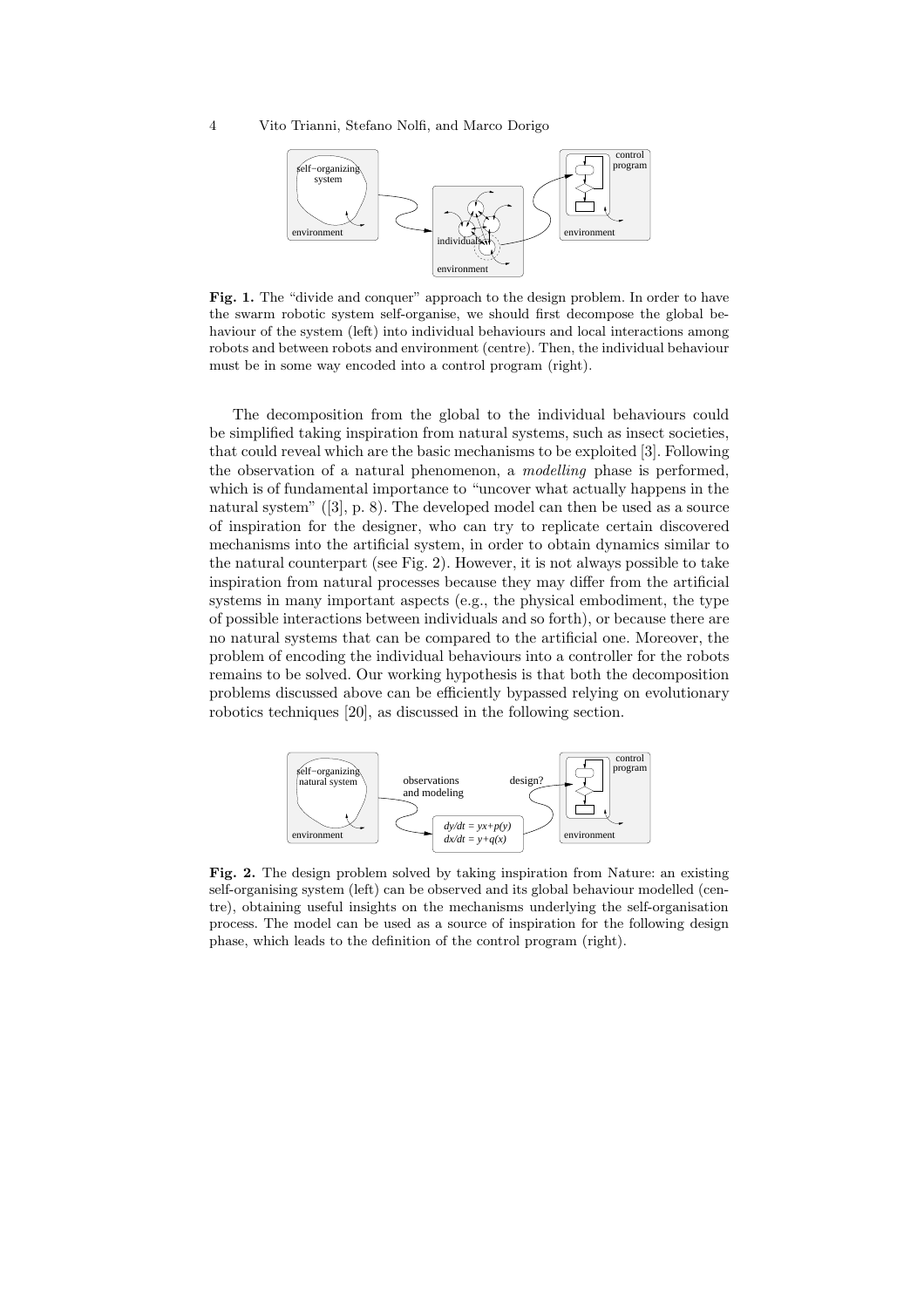

Fig. 1. The "divide and conquer" approach to the design problem. In order to have the swarm robotic system self-organise, we should first decompose the global behaviour of the system (left) into individual behaviours and local interactions among robots and between robots and environment (centre). Then, the individual behaviour must be in some way encoded into a control program (right).

The decomposition from the global to the individual behaviours could be simplified taking inspiration from natural systems, such as insect societies, that could reveal which are the basic mechanisms to be exploited [3]. Following the observation of a natural phenomenon, a modelling phase is performed, which is of fundamental importance to "uncover what actually happens in the natural system" ([3], p. 8). The developed model can then be used as a source of inspiration for the designer, who can try to replicate certain discovered mechanisms into the artificial system, in order to obtain dynamics similar to the natural counterpart (see Fig. 2). However, it is not always possible to take inspiration from natural processes because they may differ from the artificial systems in many important aspects (e.g., the physical embodiment, the type of possible interactions between individuals and so forth), or because there are no natural systems that can be compared to the artificial one. Moreover, the problem of encoding the individual behaviours into a controller for the robots remains to be solved. Our working hypothesis is that both the decomposition problems discussed above can be efficiently bypassed relying on evolutionary robotics techniques [20], as discussed in the following section.



Fig. 2. The design problem solved by taking inspiration from Nature: an existing self-organising system (left) can be observed and its global behaviour modelled (centre), obtaining useful insights on the mechanisms underlying the self-organisation process. The model can be used as a source of inspiration for the following design phase, which leads to the definition of the control program (right).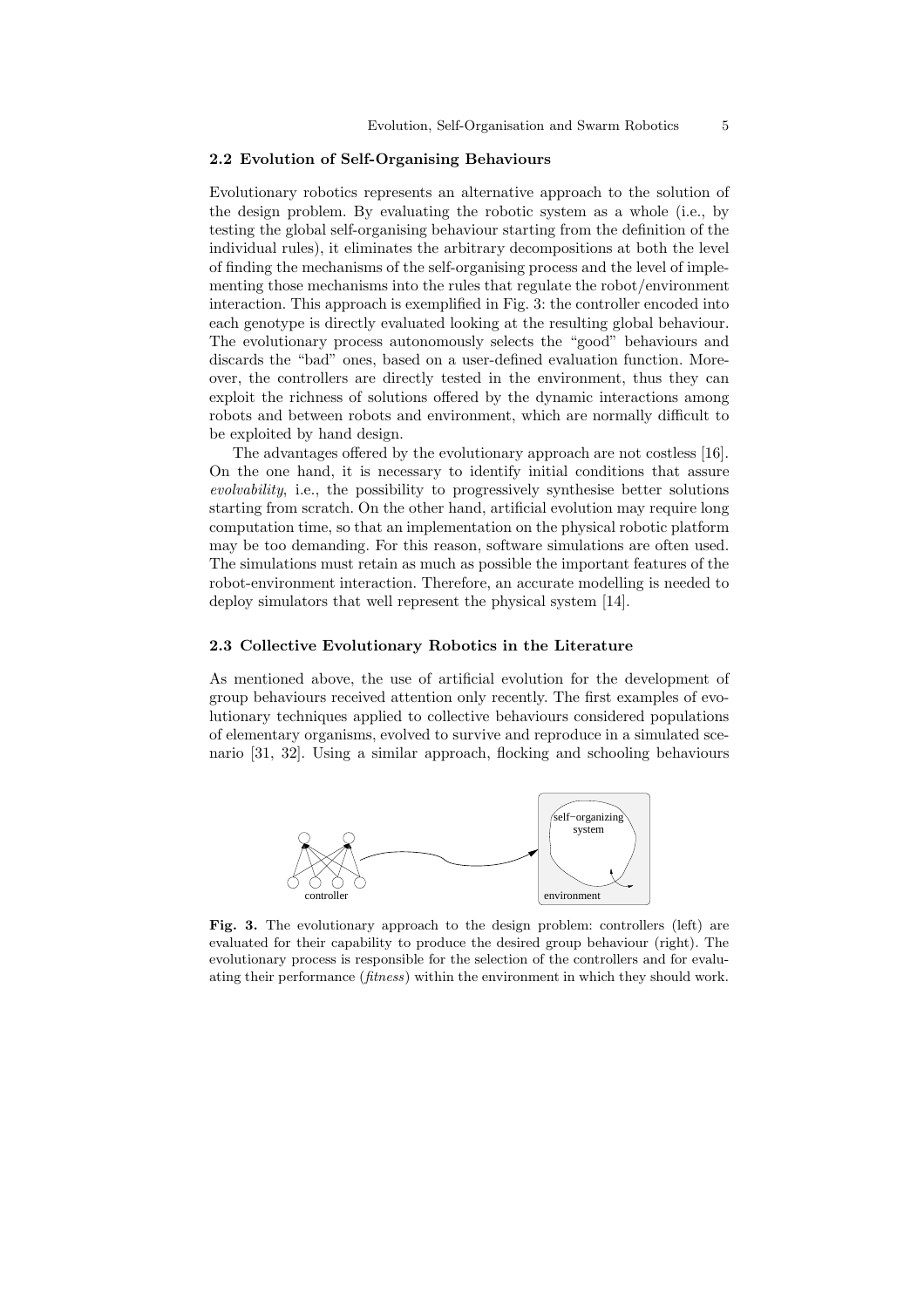# 2.2 Evolution of Self-Organising Behaviours

Evolutionary robotics represents an alternative approach to the solution of the design problem. By evaluating the robotic system as a whole (i.e., by testing the global self-organising behaviour starting from the definition of the individual rules), it eliminates the arbitrary decompositions at both the level of finding the mechanisms of the self-organising process and the level of implementing those mechanisms into the rules that regulate the robot/environment interaction. This approach is exemplified in Fig. 3: the controller encoded into each genotype is directly evaluated looking at the resulting global behaviour. The evolutionary process autonomously selects the "good" behaviours and discards the "bad" ones, based on a user-defined evaluation function. Moreover, the controllers are directly tested in the environment, thus they can exploit the richness of solutions offered by the dynamic interactions among robots and between robots and environment, which are normally difficult to be exploited by hand design.

The advantages offered by the evolutionary approach are not costless [16]. On the one hand, it is necessary to identify initial conditions that assure evolvability, i.e., the possibility to progressively synthesise better solutions starting from scratch. On the other hand, artificial evolution may require long computation time, so that an implementation on the physical robotic platform may be too demanding. For this reason, software simulations are often used. The simulations must retain as much as possible the important features of the robot-environment interaction. Therefore, an accurate modelling is needed to deploy simulators that well represent the physical system [14].

### 2.3 Collective Evolutionary Robotics in the Literature

As mentioned above, the use of artificial evolution for the development of group behaviours received attention only recently. The first examples of evolutionary techniques applied to collective behaviours considered populations of elementary organisms, evolved to survive and reproduce in a simulated scenario [31, 32]. Using a similar approach, flocking and schooling behaviours



Fig. 3. The evolutionary approach to the design problem: controllers (left) are evaluated for their capability to produce the desired group behaviour (right). The evolutionary process is responsible for the selection of the controllers and for evaluating their performance (fitness) within the environment in which they should work.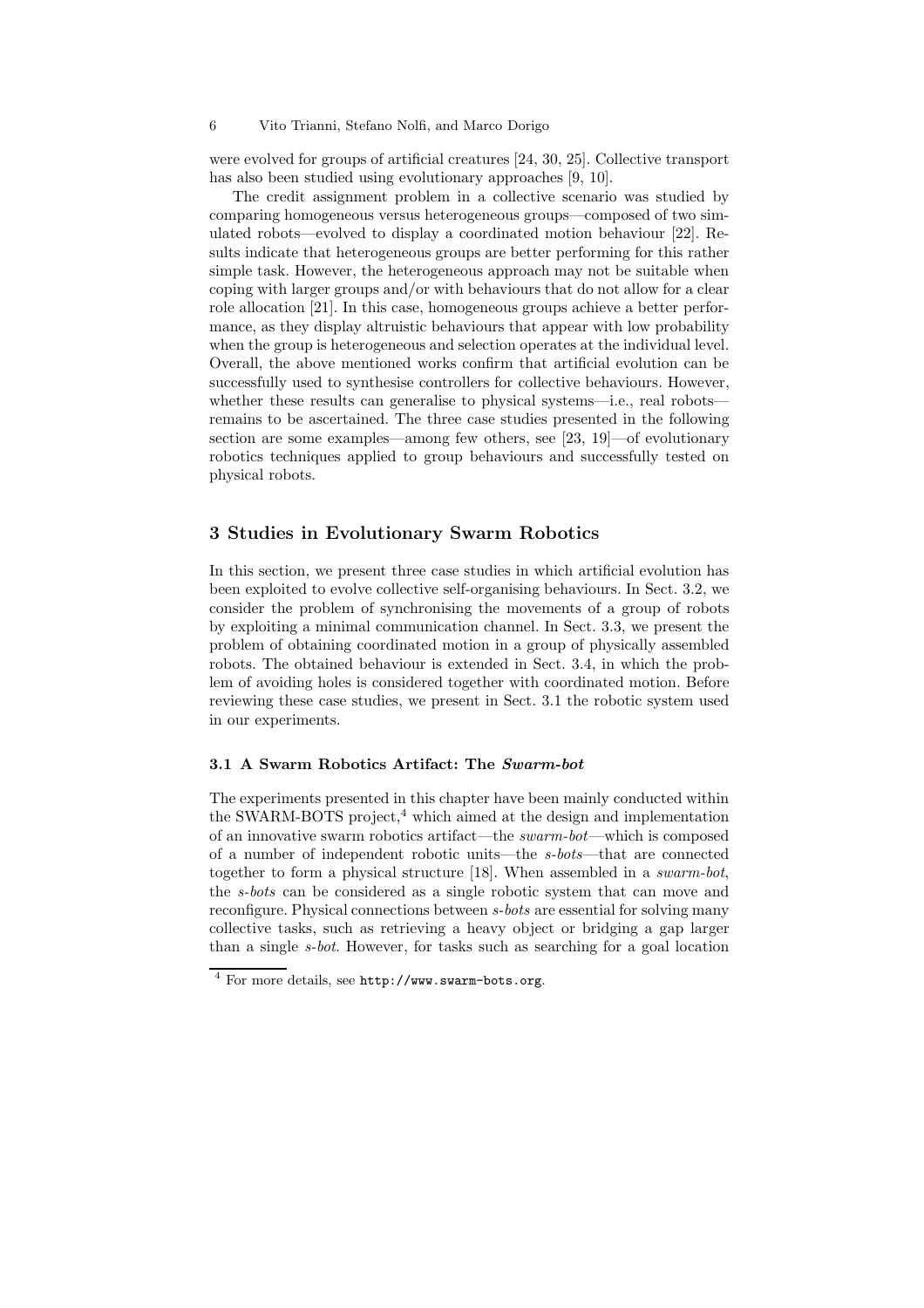were evolved for groups of artificial creatures [24, 30, 25]. Collective transport has also been studied using evolutionary approaches [9, 10].

The credit assignment problem in a collective scenario was studied by comparing homogeneous versus heterogeneous groups—composed of two simulated robots—evolved to display a coordinated motion behaviour [22]. Results indicate that heterogeneous groups are better performing for this rather simple task. However, the heterogeneous approach may not be suitable when coping with larger groups and/or with behaviours that do not allow for a clear role allocation [21]. In this case, homogeneous groups achieve a better performance, as they display altruistic behaviours that appear with low probability when the group is heterogeneous and selection operates at the individual level. Overall, the above mentioned works confirm that artificial evolution can be successfully used to synthesise controllers for collective behaviours. However, whether these results can generalise to physical systems—i.e., real robots remains to be ascertained. The three case studies presented in the following section are some examples—among few others, see [23, 19]—of evolutionary robotics techniques applied to group behaviours and successfully tested on physical robots.

# 3 Studies in Evolutionary Swarm Robotics

In this section, we present three case studies in which artificial evolution has been exploited to evolve collective self-organising behaviours. In Sect. 3.2, we consider the problem of synchronising the movements of a group of robots by exploiting a minimal communication channel. In Sect. 3.3, we present the problem of obtaining coordinated motion in a group of physically assembled robots. The obtained behaviour is extended in Sect. 3.4, in which the problem of avoiding holes is considered together with coordinated motion. Before reviewing these case studies, we present in Sect. 3.1 the robotic system used in our experiments.

# 3.1 A Swarm Robotics Artifact: The Swarm-bot

The experiments presented in this chapter have been mainly conducted within the SWARM-BOTS project, $4$  which aimed at the design and implementation of an innovative swarm robotics artifact—the swarm-bot—which is composed of a number of independent robotic units—the s-bots—that are connected together to form a physical structure [18]. When assembled in a swarm-bot, the s-bots can be considered as a single robotic system that can move and reconfigure. Physical connections between s-bots are essential for solving many collective tasks, such as retrieving a heavy object or bridging a gap larger than a single s-bot. However, for tasks such as searching for a goal location

 $\frac{4 \text{ For more details, see <http://www.swarm-bots.org>.}$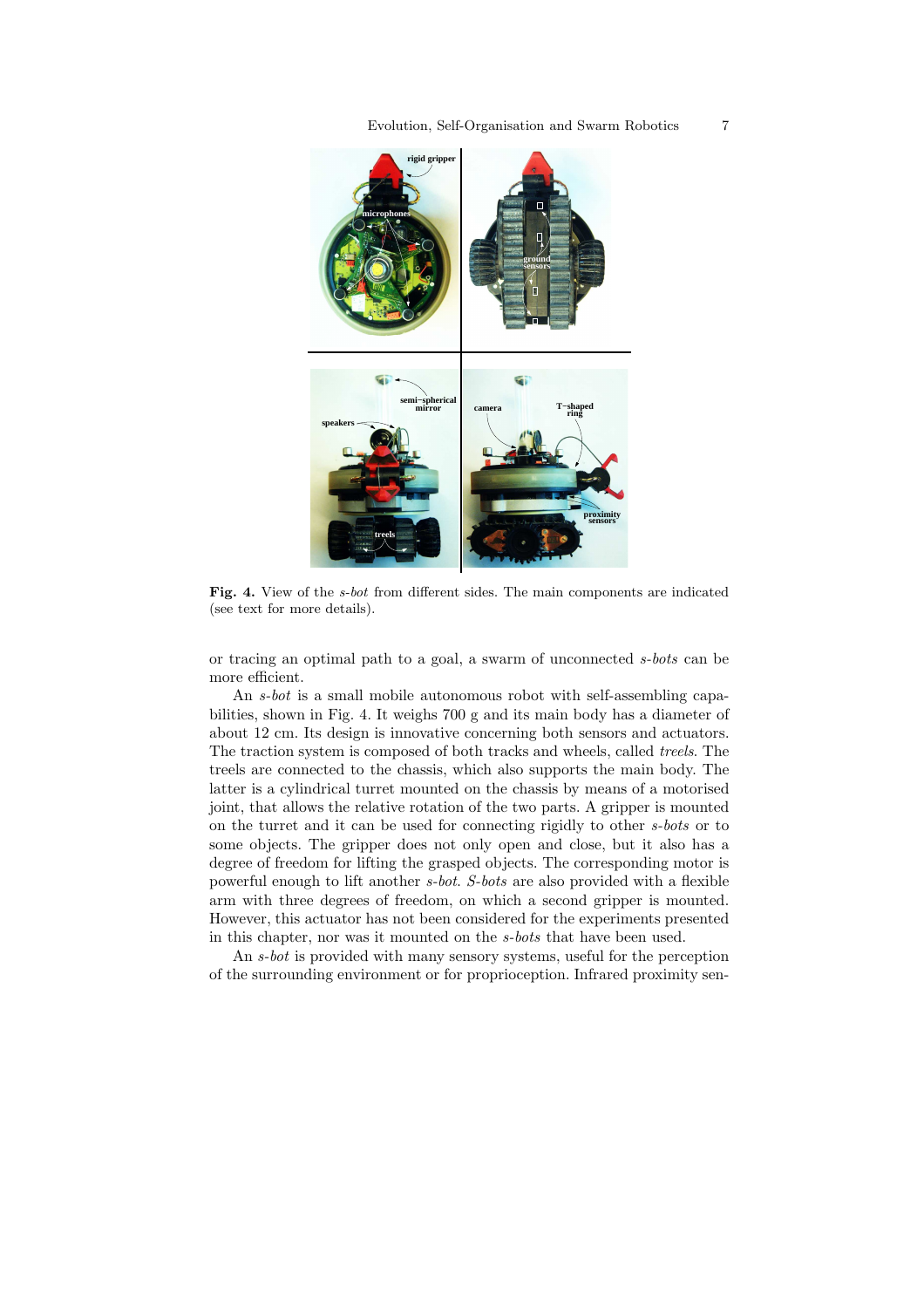

Fig. 4. View of the s-bot from different sides. The main components are indicated (see text for more details).

or tracing an optimal path to a goal, a swarm of unconnected s-bots can be more efficient.

An s-bot is a small mobile autonomous robot with self-assembling capabilities, shown in Fig. 4. It weighs 700 g and its main body has a diameter of about 12 cm. Its design is innovative concerning both sensors and actuators. The traction system is composed of both tracks and wheels, called treels. The treels are connected to the chassis, which also supports the main body. The latter is a cylindrical turret mounted on the chassis by means of a motorised joint, that allows the relative rotation of the two parts. A gripper is mounted on the turret and it can be used for connecting rigidly to other s-bots or to some objects. The gripper does not only open and close, but it also has a degree of freedom for lifting the grasped objects. The corresponding motor is powerful enough to lift another s-bot. S-bots are also provided with a flexible arm with three degrees of freedom, on which a second gripper is mounted. However, this actuator has not been considered for the experiments presented in this chapter, nor was it mounted on the s-bots that have been used.

An s-bot is provided with many sensory systems, useful for the perception of the surrounding environment or for proprioception. Infrared proximity sen-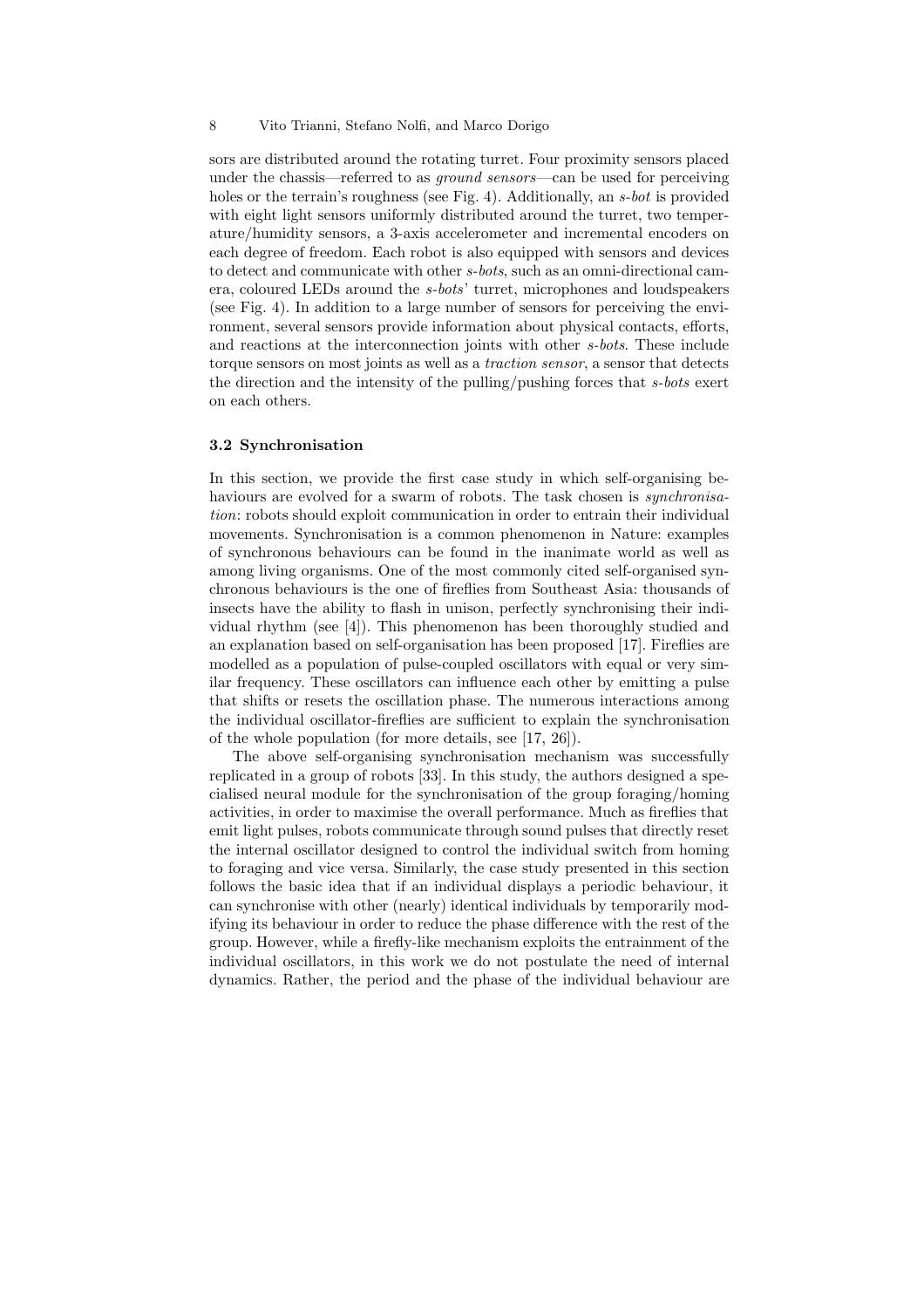sors are distributed around the rotating turret. Four proximity sensors placed under the chassis—referred to as *ground sensors*—can be used for perceiving holes or the terrain's roughness (see Fig. 4). Additionally, an s-bot is provided with eight light sensors uniformly distributed around the turret, two temperature/humidity sensors, a 3-axis accelerometer and incremental encoders on each degree of freedom. Each robot is also equipped with sensors and devices to detect and communicate with other s-bots, such as an omni-directional camera, coloured LEDs around the s-bots' turret, microphones and loudspeakers (see Fig. 4). In addition to a large number of sensors for perceiving the environment, several sensors provide information about physical contacts, efforts, and reactions at the interconnection joints with other s-bots. These include torque sensors on most joints as well as a *traction sensor*, a sensor that detects the direction and the intensity of the pulling/pushing forces that s-bots exert on each others.

## 3.2 Synchronisation

In this section, we provide the first case study in which self-organising behaviours are evolved for a swarm of robots. The task chosen is *synchronisa*tion: robots should exploit communication in order to entrain their individual movements. Synchronisation is a common phenomenon in Nature: examples of synchronous behaviours can be found in the inanimate world as well as among living organisms. One of the most commonly cited self-organised synchronous behaviours is the one of fireflies from Southeast Asia: thousands of insects have the ability to flash in unison, perfectly synchronising their individual rhythm (see [4]). This phenomenon has been thoroughly studied and an explanation based on self-organisation has been proposed [17]. Fireflies are modelled as a population of pulse-coupled oscillators with equal or very similar frequency. These oscillators can influence each other by emitting a pulse that shifts or resets the oscillation phase. The numerous interactions among the individual oscillator-fireflies are sufficient to explain the synchronisation of the whole population (for more details, see [17, 26]).

The above self-organising synchronisation mechanism was successfully replicated in a group of robots [33]. In this study, the authors designed a specialised neural module for the synchronisation of the group foraging/homing activities, in order to maximise the overall performance. Much as fireflies that emit light pulses, robots communicate through sound pulses that directly reset the internal oscillator designed to control the individual switch from homing to foraging and vice versa. Similarly, the case study presented in this section follows the basic idea that if an individual displays a periodic behaviour, it can synchronise with other (nearly) identical individuals by temporarily modifying its behaviour in order to reduce the phase difference with the rest of the group. However, while a firefly-like mechanism exploits the entrainment of the individual oscillators, in this work we do not postulate the need of internal dynamics. Rather, the period and the phase of the individual behaviour are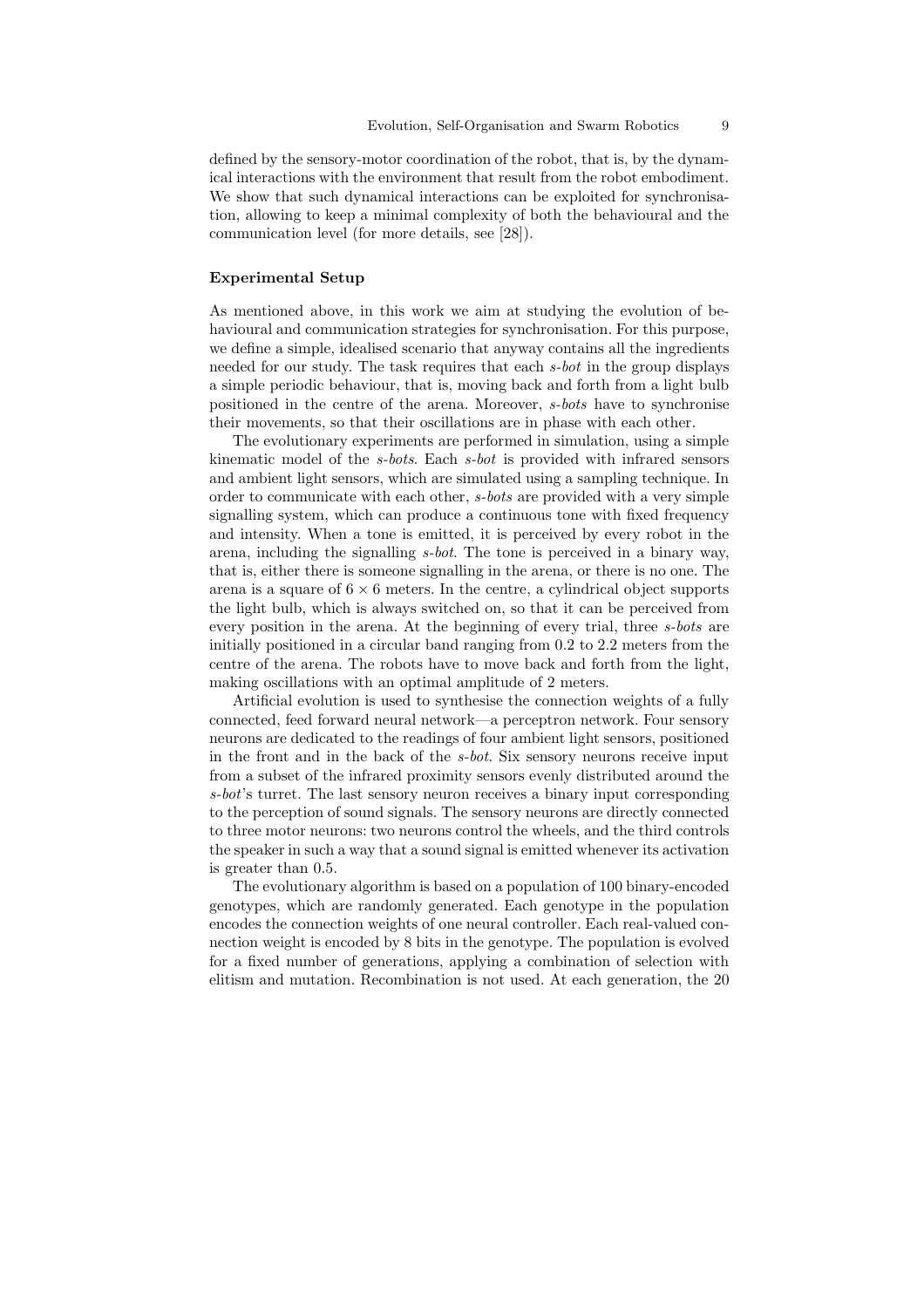defined by the sensory-motor coordination of the robot, that is, by the dynamical interactions with the environment that result from the robot embodiment. We show that such dynamical interactions can be exploited for synchronisation, allowing to keep a minimal complexity of both the behavioural and the communication level (for more details, see [28]).

# Experimental Setup

As mentioned above, in this work we aim at studying the evolution of behavioural and communication strategies for synchronisation. For this purpose, we define a simple, idealised scenario that anyway contains all the ingredients needed for our study. The task requires that each s-bot in the group displays a simple periodic behaviour, that is, moving back and forth from a light bulb positioned in the centre of the arena. Moreover, s-bots have to synchronise their movements, so that their oscillations are in phase with each other.

The evolutionary experiments are performed in simulation, using a simple kinematic model of the s-bots. Each s-bot is provided with infrared sensors and ambient light sensors, which are simulated using a sampling technique. In order to communicate with each other, s-bots are provided with a very simple signalling system, which can produce a continuous tone with fixed frequency and intensity. When a tone is emitted, it is perceived by every robot in the arena, including the signalling s-bot. The tone is perceived in a binary way, that is, either there is someone signalling in the arena, or there is no one. The arena is a square of  $6 \times 6$  meters. In the centre, a cylindrical object supports the light bulb, which is always switched on, so that it can be perceived from every position in the arena. At the beginning of every trial, three s-bots are initially positioned in a circular band ranging from 0.2 to 2.2 meters from the centre of the arena. The robots have to move back and forth from the light, making oscillations with an optimal amplitude of 2 meters.

Artificial evolution is used to synthesise the connection weights of a fully connected, feed forward neural network—a perceptron network. Four sensory neurons are dedicated to the readings of four ambient light sensors, positioned in the front and in the back of the s-bot. Six sensory neurons receive input from a subset of the infrared proximity sensors evenly distributed around the s-bot's turret. The last sensory neuron receives a binary input corresponding to the perception of sound signals. The sensory neurons are directly connected to three motor neurons: two neurons control the wheels, and the third controls the speaker in such a way that a sound signal is emitted whenever its activation is greater than 0.5.

The evolutionary algorithm is based on a population of 100 binary-encoded genotypes, which are randomly generated. Each genotype in the population encodes the connection weights of one neural controller. Each real-valued connection weight is encoded by 8 bits in the genotype. The population is evolved for a fixed number of generations, applying a combination of selection with elitism and mutation. Recombination is not used. At each generation, the 20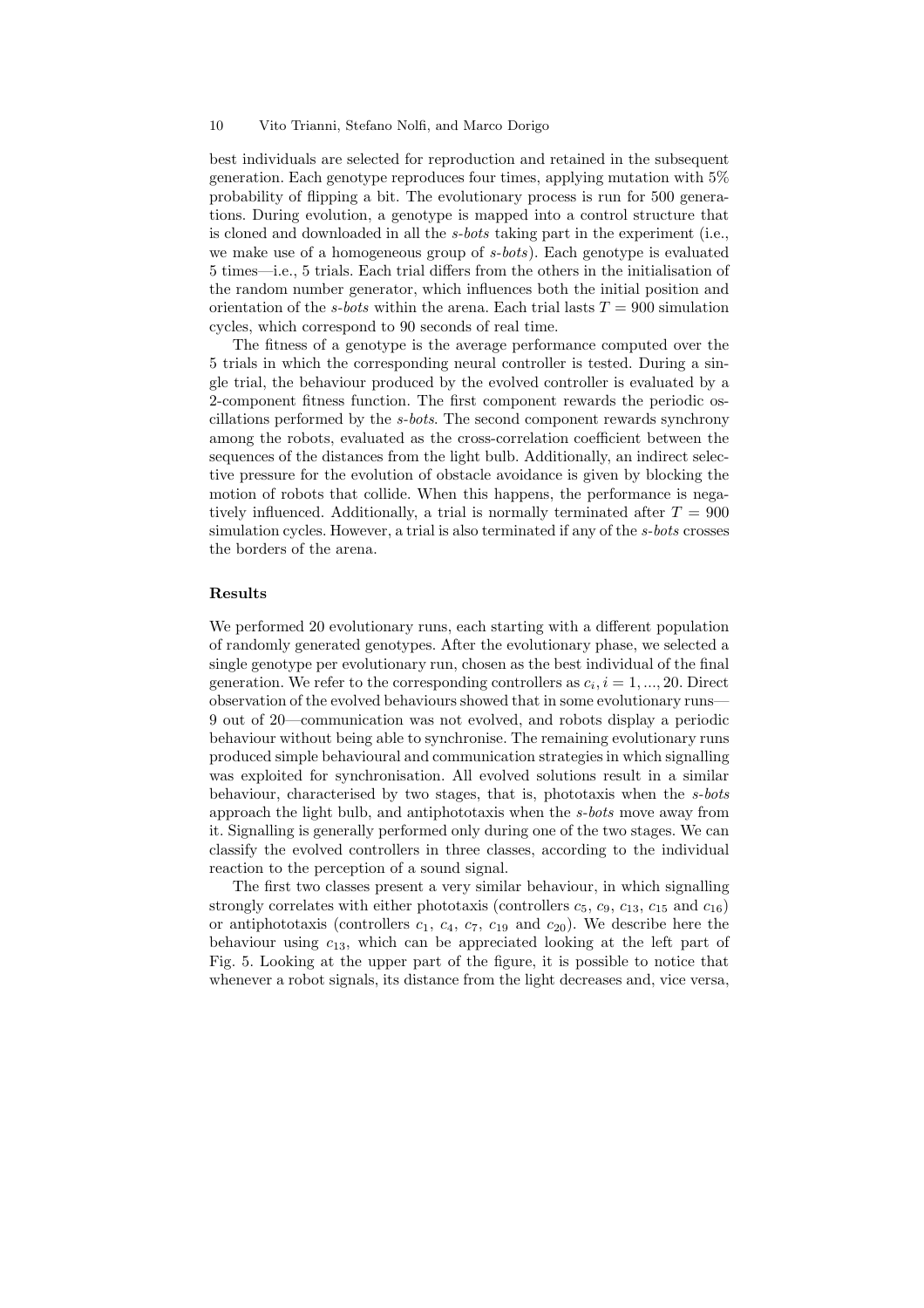best individuals are selected for reproduction and retained in the subsequent generation. Each genotype reproduces four times, applying mutation with 5% probability of flipping a bit. The evolutionary process is run for 500 generations. During evolution, a genotype is mapped into a control structure that is cloned and downloaded in all the s-bots taking part in the experiment (i.e., we make use of a homogeneous group of s-bots). Each genotype is evaluated 5 times—i.e., 5 trials. Each trial differs from the others in the initialisation of the random number generator, which influences both the initial position and orientation of the *s-bots* within the arena. Each trial lasts  $T = 900$  simulation cycles, which correspond to 90 seconds of real time.

The fitness of a genotype is the average performance computed over the 5 trials in which the corresponding neural controller is tested. During a single trial, the behaviour produced by the evolved controller is evaluated by a 2-component fitness function. The first component rewards the periodic oscillations performed by the s-bots. The second component rewards synchrony among the robots, evaluated as the cross-correlation coefficient between the sequences of the distances from the light bulb. Additionally, an indirect selective pressure for the evolution of obstacle avoidance is given by blocking the motion of robots that collide. When this happens, the performance is negatively influenced. Additionally, a trial is normally terminated after  $T = 900$ simulation cycles. However, a trial is also terminated if any of the s-bots crosses the borders of the arena.

# Results

We performed 20 evolutionary runs, each starting with a different population of randomly generated genotypes. After the evolutionary phase, we selected a single genotype per evolutionary run, chosen as the best individual of the final generation. We refer to the corresponding controllers as  $c_i$ ,  $i = 1, ..., 20$ . Direct observation of the evolved behaviours showed that in some evolutionary runs— 9 out of 20—communication was not evolved, and robots display a periodic behaviour without being able to synchronise. The remaining evolutionary runs produced simple behavioural and communication strategies in which signalling was exploited for synchronisation. All evolved solutions result in a similar behaviour, characterised by two stages, that is, phototaxis when the s-bots approach the light bulb, and antiphototaxis when the s-bots move away from it. Signalling is generally performed only during one of the two stages. We can classify the evolved controllers in three classes, according to the individual reaction to the perception of a sound signal.

The first two classes present a very similar behaviour, in which signalling strongly correlates with either phototaxis (controllers  $c_5$ ,  $c_9$ ,  $c_{13}$ ,  $c_{15}$  and  $c_{16}$ ) or antiphototaxis (controllers  $c_1$ ,  $c_4$ ,  $c_7$ ,  $c_{19}$  and  $c_{20}$ ). We describe here the behaviour using  $c_{13}$ , which can be appreciated looking at the left part of Fig. 5. Looking at the upper part of the figure, it is possible to notice that whenever a robot signals, its distance from the light decreases and, vice versa,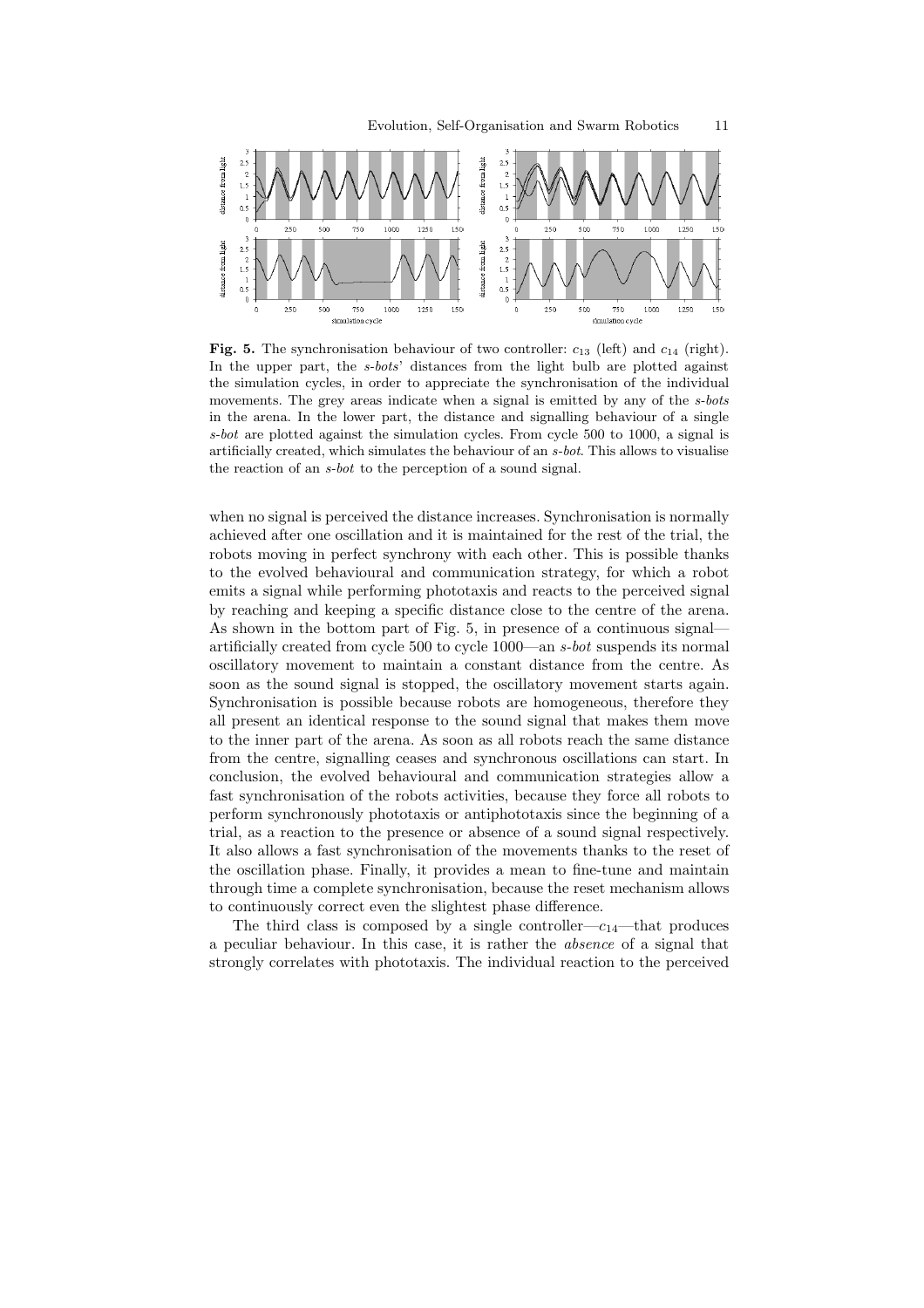

Fig. 5. The synchronisation behaviour of two controller:  $c_{13}$  (left) and  $c_{14}$  (right). In the upper part, the s-bots' distances from the light bulb are plotted against the simulation cycles, in order to appreciate the synchronisation of the individual movements. The grey areas indicate when a signal is emitted by any of the s-bots in the arena. In the lower part, the distance and signalling behaviour of a single s-bot are plotted against the simulation cycles. From cycle 500 to 1000, a signal is artificially created, which simulates the behaviour of an s-bot. This allows to visualise the reaction of an s-bot to the perception of a sound signal.

when no signal is perceived the distance increases. Synchronisation is normally achieved after one oscillation and it is maintained for the rest of the trial, the robots moving in perfect synchrony with each other. This is possible thanks to the evolved behavioural and communication strategy, for which a robot emits a signal while performing phototaxis and reacts to the perceived signal by reaching and keeping a specific distance close to the centre of the arena. As shown in the bottom part of Fig. 5, in presence of a continuous signal artificially created from cycle 500 to cycle 1000—an s-bot suspends its normal oscillatory movement to maintain a constant distance from the centre. As soon as the sound signal is stopped, the oscillatory movement starts again. Synchronisation is possible because robots are homogeneous, therefore they all present an identical response to the sound signal that makes them move to the inner part of the arena. As soon as all robots reach the same distance from the centre, signalling ceases and synchronous oscillations can start. In conclusion, the evolved behavioural and communication strategies allow a fast synchronisation of the robots activities, because they force all robots to perform synchronously phototaxis or antiphototaxis since the beginning of a trial, as a reaction to the presence or absence of a sound signal respectively. It also allows a fast synchronisation of the movements thanks to the reset of the oscillation phase. Finally, it provides a mean to fine-tune and maintain through time a complete synchronisation, because the reset mechanism allows to continuously correct even the slightest phase difference.

The third class is composed by a single controller— $c_{14}$ —that produces a peculiar behaviour. In this case, it is rather the absence of a signal that strongly correlates with phototaxis. The individual reaction to the perceived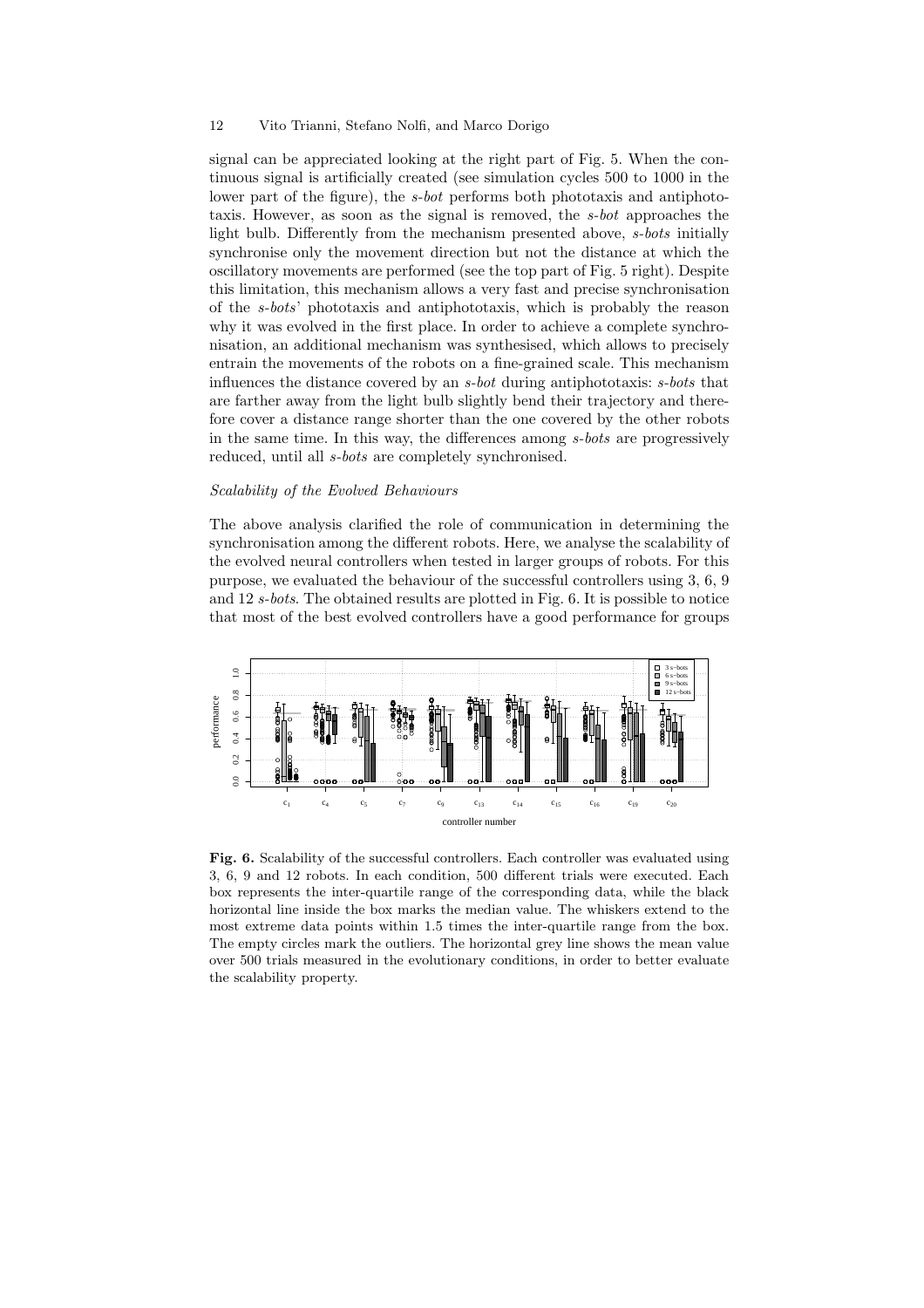signal can be appreciated looking at the right part of Fig. 5. When the continuous signal is artificially created (see simulation cycles 500 to 1000 in the lower part of the figure), the *s-bot* performs both phototaxis and antiphototaxis. However, as soon as the signal is removed, the s-bot approaches the light bulb. Differently from the mechanism presented above, s-bots initially synchronise only the movement direction but not the distance at which the oscillatory movements are performed (see the top part of Fig. 5 right). Despite this limitation, this mechanism allows a very fast and precise synchronisation of the s-bots' phototaxis and antiphototaxis, which is probably the reason why it was evolved in the first place. In order to achieve a complete synchronisation, an additional mechanism was synthesised, which allows to precisely entrain the movements of the robots on a fine-grained scale. This mechanism influences the distance covered by an s-bot during antiphototaxis: s-bots that are farther away from the light bulb slightly bend their trajectory and therefore cover a distance range shorter than the one covered by the other robots in the same time. In this way, the differences among s-bots are progressively reduced, until all *s-bots* are completely synchronised.

#### Scalability of the Evolved Behaviours

The above analysis clarified the role of communication in determining the synchronisation among the different robots. Here, we analyse the scalability of the evolved neural controllers when tested in larger groups of robots. For this purpose, we evaluated the behaviour of the successful controllers using 3, 6, 9 and 12 s-bots. The obtained results are plotted in Fig. 6. It is possible to notice that most of the best evolved controllers have a good performance for groups



Fig. 6. Scalability of the successful controllers. Each controller was evaluated using 3, 6, 9 and 12 robots. In each condition, 500 different trials were executed. Each box represents the inter-quartile range of the corresponding data, while the black horizontal line inside the box marks the median value. The whiskers extend to the most extreme data points within 1.5 times the inter-quartile range from the box. The empty circles mark the outliers. The horizontal grey line shows the mean value over 500 trials measured in the evolutionary conditions, in order to better evaluate the scalability property.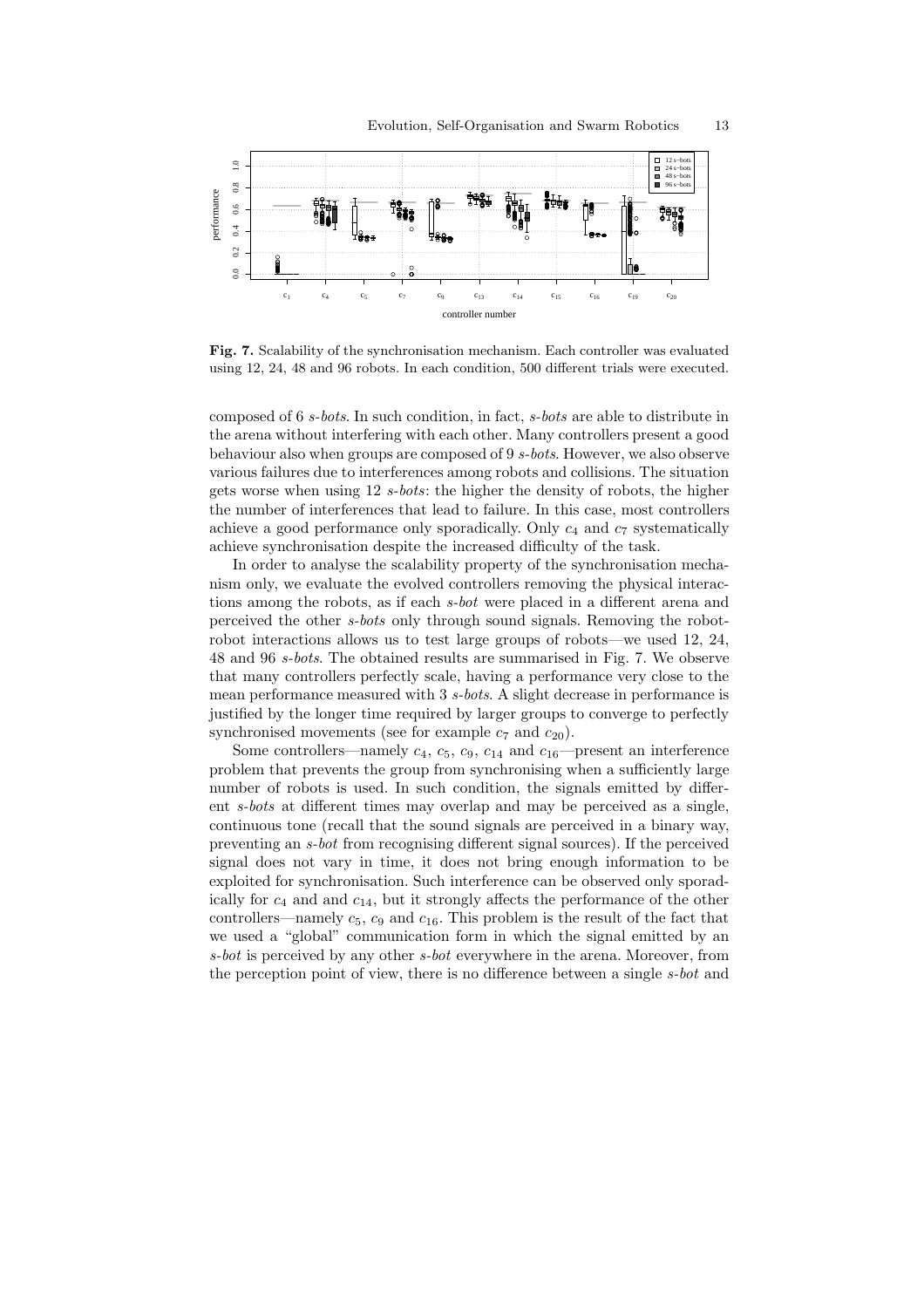

Fig. 7. Scalability of the synchronisation mechanism. Each controller was evaluated using 12, 24, 48 and 96 robots. In each condition, 500 different trials were executed.

composed of 6 s-bots. In such condition, in fact, s-bots are able to distribute in the arena without interfering with each other. Many controllers present a good behaviour also when groups are composed of 9 s-bots. However, we also observe various failures due to interferences among robots and collisions. The situation gets worse when using 12 s-bots: the higher the density of robots, the higher the number of interferences that lead to failure. In this case, most controllers achieve a good performance only sporadically. Only  $c_4$  and  $c_7$  systematically achieve synchronisation despite the increased difficulty of the task.

In order to analyse the scalability property of the synchronisation mechanism only, we evaluate the evolved controllers removing the physical interactions among the robots, as if each s-bot were placed in a different arena and perceived the other s-bots only through sound signals. Removing the robotrobot interactions allows us to test large groups of robots—we used 12, 24, 48 and 96 s-bots. The obtained results are summarised in Fig. 7. We observe that many controllers perfectly scale, having a performance very close to the mean performance measured with 3 s-bots. A slight decrease in performance is justified by the longer time required by larger groups to converge to perfectly synchronised movements (see for example  $c_7$  and  $c_{20}$ ).

Some controllers—namely  $c_4$ ,  $c_5$ ,  $c_9$ ,  $c_{14}$  and  $c_{16}$ —present an interference problem that prevents the group from synchronising when a sufficiently large number of robots is used. In such condition, the signals emitted by different s-bots at different times may overlap and may be perceived as a single, continuous tone (recall that the sound signals are perceived in a binary way, preventing an s-bot from recognising different signal sources). If the perceived signal does not vary in time, it does not bring enough information to be exploited for synchronisation. Such interference can be observed only sporadically for  $c_4$  and and  $c_{14}$ , but it strongly affects the performance of the other controllers—namely  $c_5$ ,  $c_9$  and  $c_{16}$ . This problem is the result of the fact that we used a "global" communication form in which the signal emitted by an s-bot is perceived by any other s-bot everywhere in the arena. Moreover, from the perception point of view, there is no difference between a single s-bot and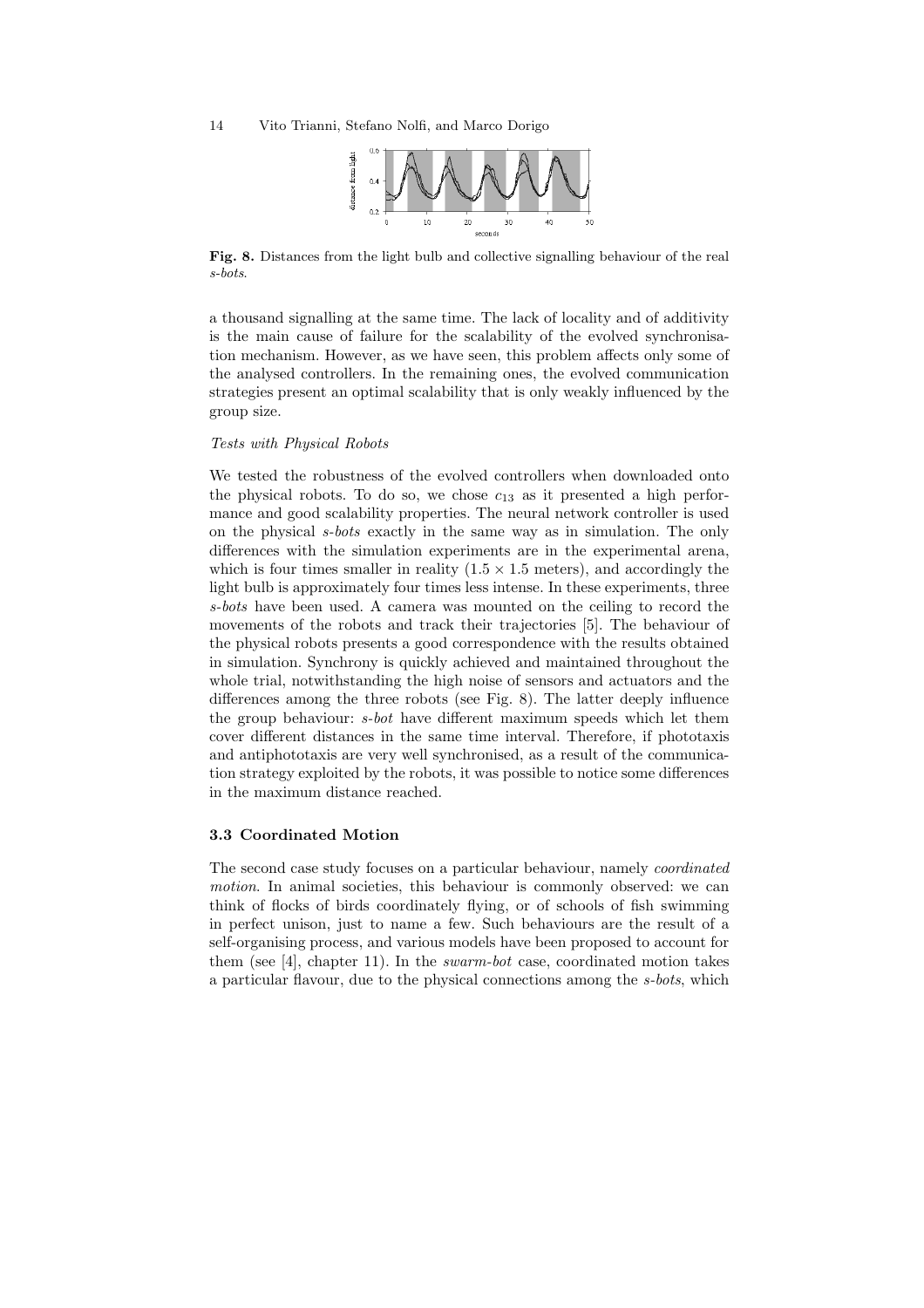

Fig. 8. Distances from the light bulb and collective signalling behaviour of the real s-bots.

a thousand signalling at the same time. The lack of locality and of additivity is the main cause of failure for the scalability of the evolved synchronisation mechanism. However, as we have seen, this problem affects only some of the analysed controllers. In the remaining ones, the evolved communication strategies present an optimal scalability that is only weakly influenced by the group size.

# Tests with Physical Robots

We tested the robustness of the evolved controllers when downloaded onto the physical robots. To do so, we chose  $c_{13}$  as it presented a high performance and good scalability properties. The neural network controller is used on the physical s-bots exactly in the same way as in simulation. The only differences with the simulation experiments are in the experimental arena, which is four times smaller in reality  $(1.5 \times 1.5 \text{ meters})$ , and accordingly the light bulb is approximately four times less intense. In these experiments, three s-bots have been used. A camera was mounted on the ceiling to record the movements of the robots and track their trajectories [5]. The behaviour of the physical robots presents a good correspondence with the results obtained in simulation. Synchrony is quickly achieved and maintained throughout the whole trial, notwithstanding the high noise of sensors and actuators and the differences among the three robots (see Fig. 8). The latter deeply influence the group behaviour: s-bot have different maximum speeds which let them cover different distances in the same time interval. Therefore, if phototaxis and antiphototaxis are very well synchronised, as a result of the communication strategy exploited by the robots, it was possible to notice some differences in the maximum distance reached.

#### 3.3 Coordinated Motion

The second case study focuses on a particular behaviour, namely coordinated motion. In animal societies, this behaviour is commonly observed: we can think of flocks of birds coordinately flying, or of schools of fish swimming in perfect unison, just to name a few. Such behaviours are the result of a self-organising process, and various models have been proposed to account for them (see [4], chapter 11). In the *swarm-bot* case, coordinated motion takes a particular flavour, due to the physical connections among the s-bots, which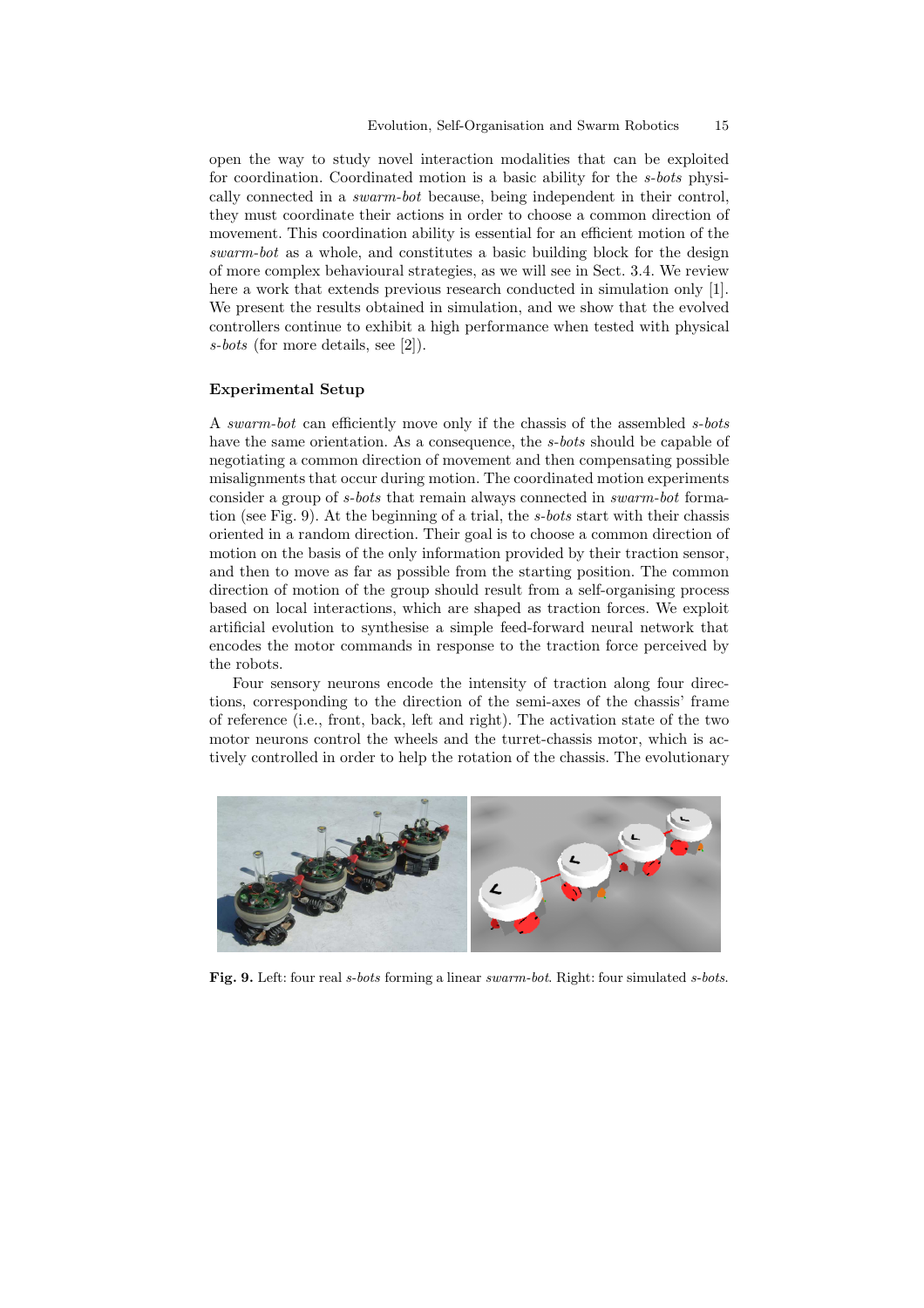open the way to study novel interaction modalities that can be exploited for coordination. Coordinated motion is a basic ability for the s-bots physically connected in a swarm-bot because, being independent in their control, they must coordinate their actions in order to choose a common direction of movement. This coordination ability is essential for an efficient motion of the swarm-bot as a whole, and constitutes a basic building block for the design of more complex behavioural strategies, as we will see in Sect. 3.4. We review here a work that extends previous research conducted in simulation only [1]. We present the results obtained in simulation, and we show that the evolved controllers continue to exhibit a high performance when tested with physical s-bots (for more details, see [2]).

# Experimental Setup

A swarm-bot can efficiently move only if the chassis of the assembled s-bots have the same orientation. As a consequence, the s-bots should be capable of negotiating a common direction of movement and then compensating possible misalignments that occur during motion. The coordinated motion experiments consider a group of s-bots that remain always connected in swarm-bot formation (see Fig. 9). At the beginning of a trial, the s-bots start with their chassis oriented in a random direction. Their goal is to choose a common direction of motion on the basis of the only information provided by their traction sensor, and then to move as far as possible from the starting position. The common direction of motion of the group should result from a self-organising process based on local interactions, which are shaped as traction forces. We exploit artificial evolution to synthesise a simple feed-forward neural network that encodes the motor commands in response to the traction force perceived by the robots.

Four sensory neurons encode the intensity of traction along four directions, corresponding to the direction of the semi-axes of the chassis' frame of reference (i.e., front, back, left and right). The activation state of the two motor neurons control the wheels and the turret-chassis motor, which is actively controlled in order to help the rotation of the chassis. The evolutionary



Fig. 9. Left: four real s-bots forming a linear swarm-bot. Right: four simulated s-bots.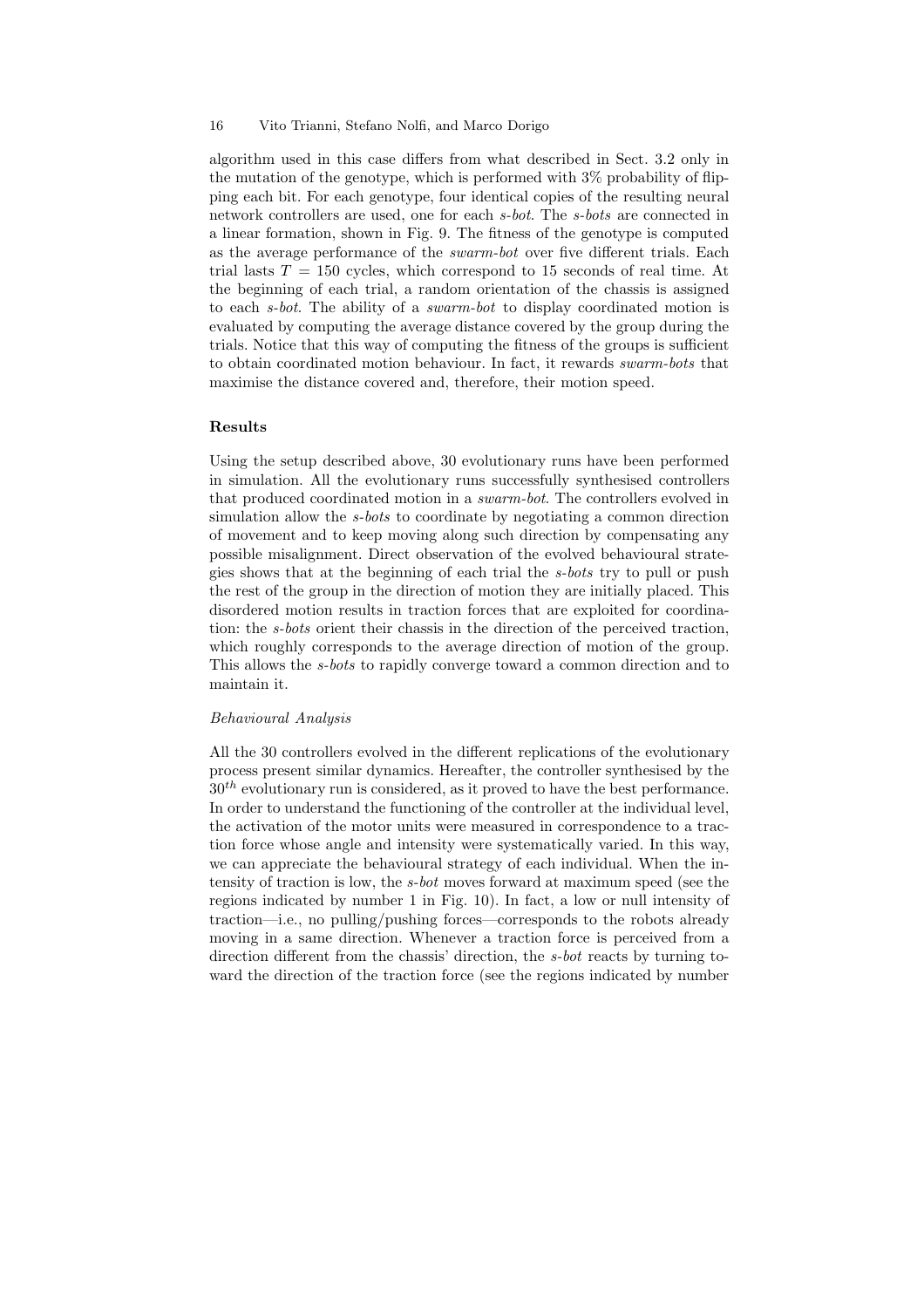algorithm used in this case differs from what described in Sect. 3.2 only in the mutation of the genotype, which is performed with  $3\%$  probability of flipping each bit. For each genotype, four identical copies of the resulting neural network controllers are used, one for each s-bot. The s-bots are connected in a linear formation, shown in Fig. 9. The fitness of the genotype is computed as the average performance of the swarm-bot over five different trials. Each trial lasts  $T = 150$  cycles, which correspond to 15 seconds of real time. At the beginning of each trial, a random orientation of the chassis is assigned to each s-bot. The ability of a swarm-bot to display coordinated motion is evaluated by computing the average distance covered by the group during the trials. Notice that this way of computing the fitness of the groups is sufficient to obtain coordinated motion behaviour. In fact, it rewards swarm-bots that maximise the distance covered and, therefore, their motion speed.

# Results

Using the setup described above, 30 evolutionary runs have been performed in simulation. All the evolutionary runs successfully synthesised controllers that produced coordinated motion in a swarm-bot. The controllers evolved in simulation allow the *s-bots* to coordinate by negotiating a common direction of movement and to keep moving along such direction by compensating any possible misalignment. Direct observation of the evolved behavioural strategies shows that at the beginning of each trial the s-bots try to pull or push the rest of the group in the direction of motion they are initially placed. This disordered motion results in traction forces that are exploited for coordination: the s-bots orient their chassis in the direction of the perceived traction, which roughly corresponds to the average direction of motion of the group. This allows the s-bots to rapidly converge toward a common direction and to maintain it.

#### Behavioural Analysis

All the 30 controllers evolved in the different replications of the evolutionary process present similar dynamics. Hereafter, the controller synthesised by the  $30<sup>th</sup>$  evolutionary run is considered, as it proved to have the best performance. In order to understand the functioning of the controller at the individual level, the activation of the motor units were measured in correspondence to a traction force whose angle and intensity were systematically varied. In this way, we can appreciate the behavioural strategy of each individual. When the intensity of traction is low, the s-bot moves forward at maximum speed (see the regions indicated by number 1 in Fig. 10). In fact, a low or null intensity of traction—i.e., no pulling/pushing forces—corresponds to the robots already moving in a same direction. Whenever a traction force is perceived from a direction different from the chassis' direction, the *s-bot* reacts by turning toward the direction of the traction force (see the regions indicated by number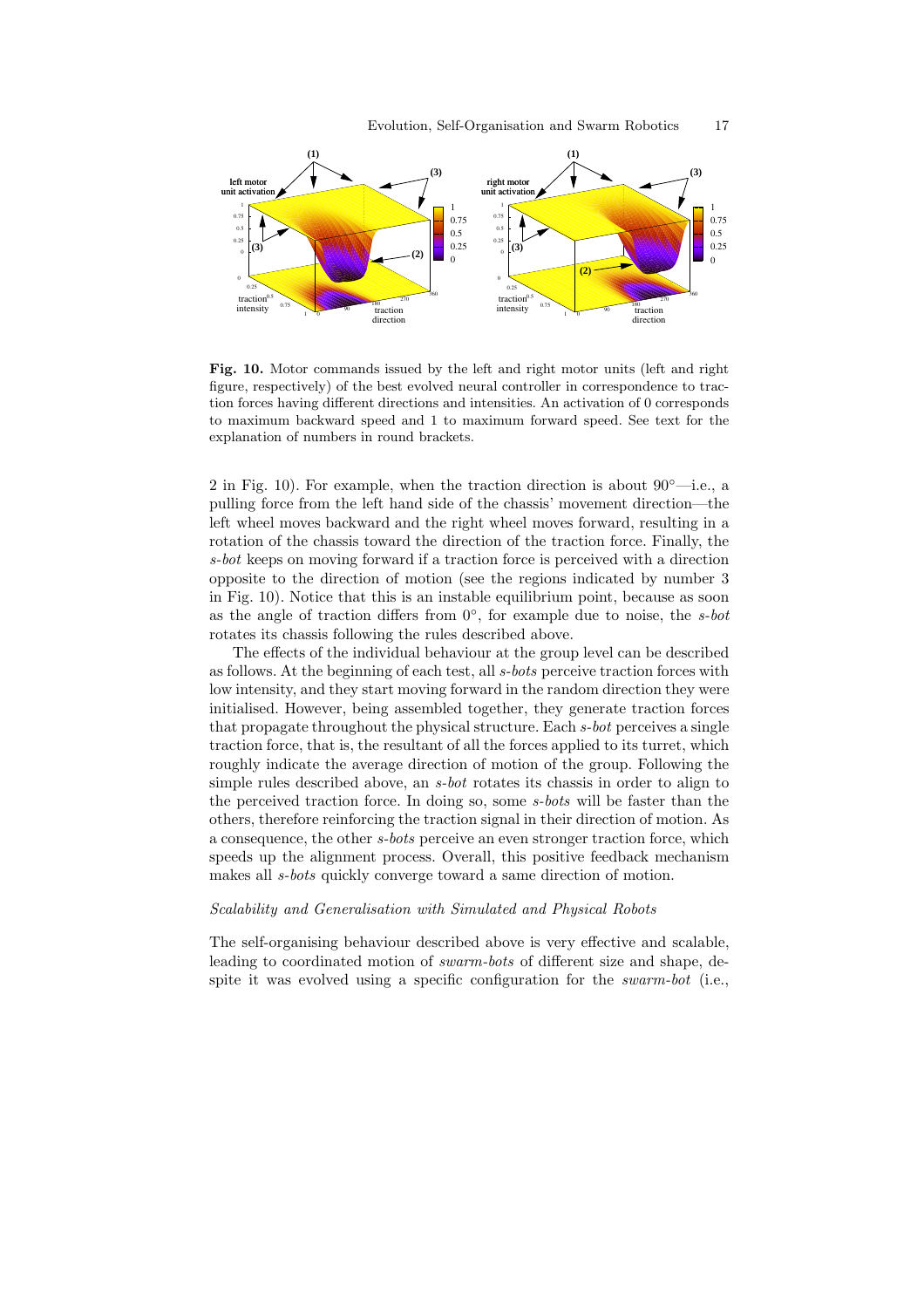

Fig. 10. Motor commands issued by the left and right motor units (left and right figure, respectively) of the best evolved neural controller in correspondence to traction forces having different directions and intensities. An activation of 0 corresponds to maximum backward speed and 1 to maximum forward speed. See text for the explanation of numbers in round brackets.

2 in Fig. 10). For example, when the traction direction is about  $90^{\circ}$ —i.e., a pulling force from the left hand side of the chassis' movement direction—the left wheel moves backward and the right wheel moves forward, resulting in a rotation of the chassis toward the direction of the traction force. Finally, the s-bot keeps on moving forward if a traction force is perceived with a direction opposite to the direction of motion (see the regions indicated by number 3 in Fig. 10). Notice that this is an instable equilibrium point, because as soon as the angle of traction differs from  $0^\circ$ , for example due to noise, the s-bot rotates its chassis following the rules described above.

The effects of the individual behaviour at the group level can be described as follows. At the beginning of each test, all s-bots perceive traction forces with low intensity, and they start moving forward in the random direction they were initialised. However, being assembled together, they generate traction forces that propagate throughout the physical structure. Each s-bot perceives a single traction force, that is, the resultant of all the forces applied to its turret, which roughly indicate the average direction of motion of the group. Following the simple rules described above, an s-bot rotates its chassis in order to align to the perceived traction force. In doing so, some s-bots will be faster than the others, therefore reinforcing the traction signal in their direction of motion. As a consequence, the other s-bots perceive an even stronger traction force, which speeds up the alignment process. Overall, this positive feedback mechanism makes all s-bots quickly converge toward a same direction of motion.

#### Scalability and Generalisation with Simulated and Physical Robots

The self-organising behaviour described above is very effective and scalable, leading to coordinated motion of swarm-bots of different size and shape, despite it was evolved using a specific configuration for the *swarm-bot* (i.e.,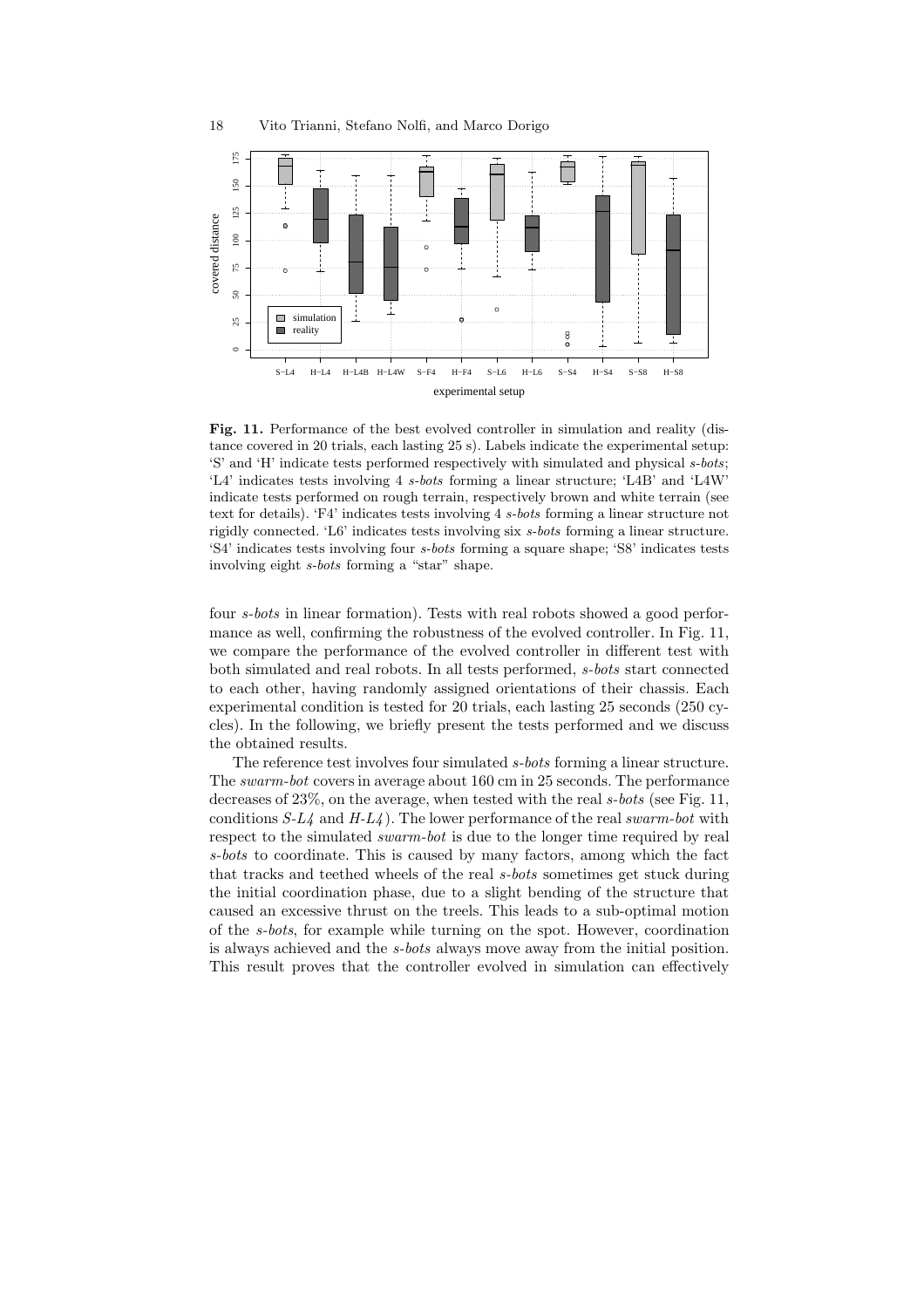

Fig. 11. Performance of the best evolved controller in simulation and reality (distance covered in 20 trials, each lasting 25 s). Labels indicate the experimental setup: 'S' and 'H' indicate tests performed respectively with simulated and physical s-bots; 'L4' indicates tests involving 4 s-bots forming a linear structure; 'L4B' and 'L4W' indicate tests performed on rough terrain, respectively brown and white terrain (see text for details). 'F4' indicates tests involving 4 s-bots forming a linear structure not rigidly connected. 'L6' indicates tests involving six s-bots forming a linear structure. 'S4' indicates tests involving four s-bots forming a square shape; 'S8' indicates tests involving eight s-bots forming a "star" shape.

four s-bots in linear formation). Tests with real robots showed a good performance as well, confirming the robustness of the evolved controller. In Fig. 11, we compare the performance of the evolved controller in different test with both simulated and real robots. In all tests performed, s-bots start connected to each other, having randomly assigned orientations of their chassis. Each experimental condition is tested for 20 trials, each lasting 25 seconds (250 cycles). In the following, we briefly present the tests performed and we discuss the obtained results.

The reference test involves four simulated s-bots forming a linear structure. The swarm-bot covers in average about 160 cm in 25 seconds. The performance decreases of 23%, on the average, when tested with the real s-bots (see Fig. 11, conditions  $S-L4$  and  $H-L4$ . The lower performance of the real swarm-bot with respect to the simulated *swarm-bot* is due to the longer time required by real s-bots to coordinate. This is caused by many factors, among which the fact that tracks and teethed wheels of the real s-bots sometimes get stuck during the initial coordination phase, due to a slight bending of the structure that caused an excessive thrust on the treels. This leads to a sub-optimal motion of the s-bots, for example while turning on the spot. However, coordination is always achieved and the s-bots always move away from the initial position. This result proves that the controller evolved in simulation can effectively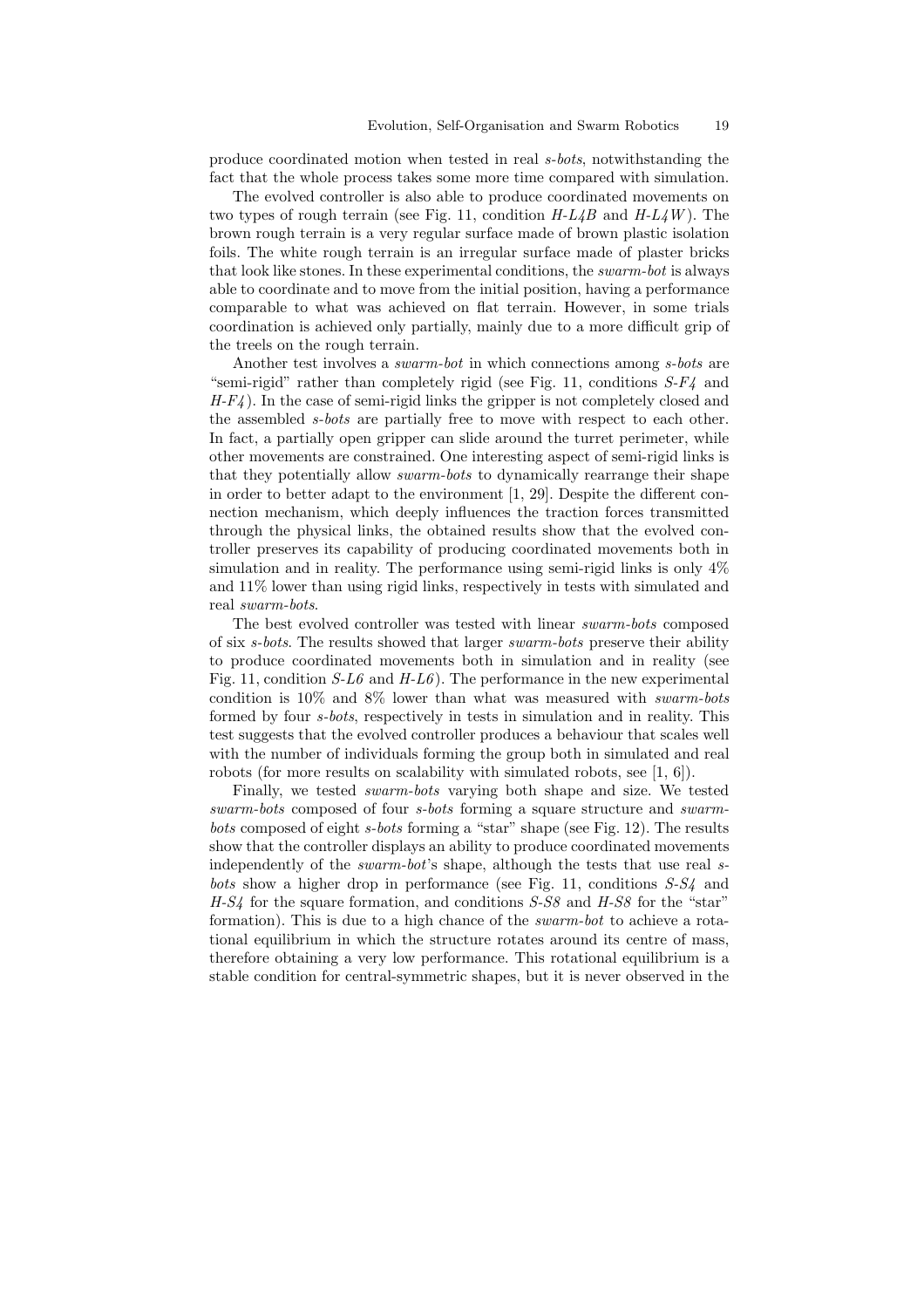produce coordinated motion when tested in real s-bots, notwithstanding the fact that the whole process takes some more time compared with simulation.

The evolved controller is also able to produce coordinated movements on two types of rough terrain (see Fig. 11, condition  $H-L4B$  and  $H-L4W$ ). The brown rough terrain is a very regular surface made of brown plastic isolation foils. The white rough terrain is an irregular surface made of plaster bricks that look like stones. In these experimental conditions, the swarm-bot is always able to coordinate and to move from the initial position, having a performance comparable to what was achieved on flat terrain. However, in some trials coordination is achieved only partially, mainly due to a more difficult grip of the treels on the rough terrain.

Another test involves a swarm-bot in which connections among s-bots are "semi-rigid" rather than completely rigid (see Fig. 11, conditions  $S-F<sub>4</sub>$  and  $H-F4$ ). In the case of semi-rigid links the gripper is not completely closed and the assembled s-bots are partially free to move with respect to each other. In fact, a partially open gripper can slide around the turret perimeter, while other movements are constrained. One interesting aspect of semi-rigid links is that they potentially allow *swarm-bots* to dynamically rearrange their shape in order to better adapt to the environment [1, 29]. Despite the different connection mechanism, which deeply influences the traction forces transmitted through the physical links, the obtained results show that the evolved controller preserves its capability of producing coordinated movements both in simulation and in reality. The performance using semi-rigid links is only  $4\%$ and 11% lower than using rigid links, respectively in tests with simulated and real swarm-bots.

The best evolved controller was tested with linear swarm-bots composed of six s-bots. The results showed that larger swarm-bots preserve their ability to produce coordinated movements both in simulation and in reality (see Fig. 11, condition  $S-L6$  and  $H-L6$ ). The performance in the new experimental condition is 10% and 8% lower than what was measured with swarm-bots formed by four s-bots, respectively in tests in simulation and in reality. This test suggests that the evolved controller produces a behaviour that scales well with the number of individuals forming the group both in simulated and real robots (for more results on scalability with simulated robots, see [1, 6]).

Finally, we tested swarm-bots varying both shape and size. We tested swarm-bots composed of four s-bots forming a square structure and swarmbots composed of eight s-bots forming a "star" shape (see Fig. 12). The results show that the controller displays an ability to produce coordinated movements independently of the *swarm-bot*'s shape, although the tests that use real sbots show a higher drop in performance (see Fig. 11, conditions S-S4 and  $H-S4$  for the square formation, and conditions  $S-S8$  and  $H-S8$  for the "star" formation). This is due to a high chance of the *swarm-bot* to achieve a rotational equilibrium in which the structure rotates around its centre of mass, therefore obtaining a very low performance. This rotational equilibrium is a stable condition for central-symmetric shapes, but it is never observed in the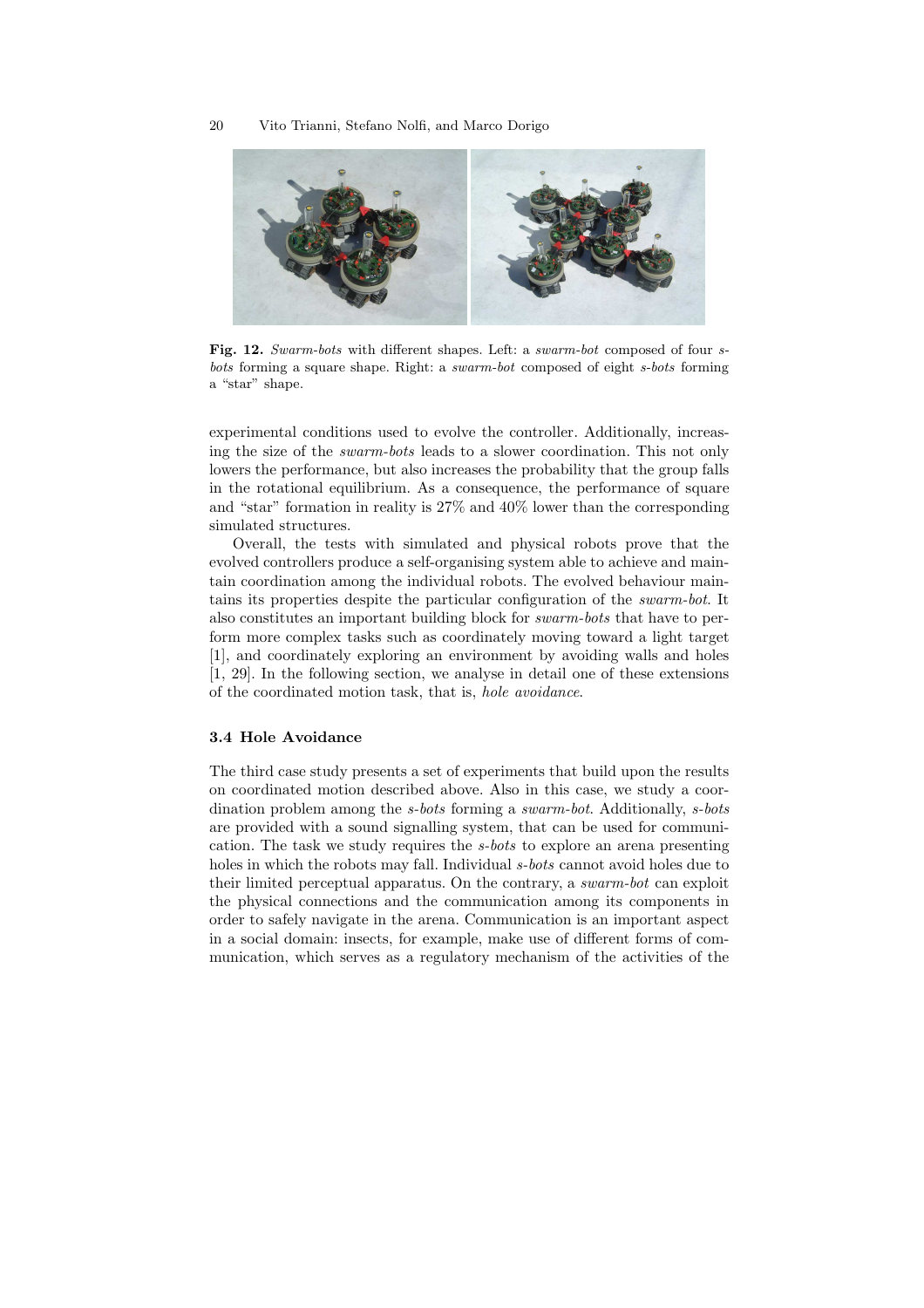

Fig. 12. Swarm-bots with different shapes. Left: a swarm-bot composed of four sbots forming a square shape. Right: a swarm-bot composed of eight s-bots forming a "star" shape.

experimental conditions used to evolve the controller. Additionally, increasing the size of the swarm-bots leads to a slower coordination. This not only lowers the performance, but also increases the probability that the group falls in the rotational equilibrium. As a consequence, the performance of square and "star" formation in reality is 27% and 40% lower than the corresponding simulated structures.

Overall, the tests with simulated and physical robots prove that the evolved controllers produce a self-organising system able to achieve and maintain coordination among the individual robots. The evolved behaviour maintains its properties despite the particular configuration of the swarm-bot. It also constitutes an important building block for swarm-bots that have to perform more complex tasks such as coordinately moving toward a light target [1], and coordinately exploring an environment by avoiding walls and holes [1, 29]. In the following section, we analyse in detail one of these extensions of the coordinated motion task, that is, hole avoidance.

# 3.4 Hole Avoidance

The third case study presents a set of experiments that build upon the results on coordinated motion described above. Also in this case, we study a coordination problem among the s-bots forming a swarm-bot. Additionally, s-bots are provided with a sound signalling system, that can be used for communication. The task we study requires the s-bots to explore an arena presenting holes in which the robots may fall. Individual s-bots cannot avoid holes due to their limited perceptual apparatus. On the contrary, a swarm-bot can exploit the physical connections and the communication among its components in order to safely navigate in the arena. Communication is an important aspect in a social domain: insects, for example, make use of different forms of communication, which serves as a regulatory mechanism of the activities of the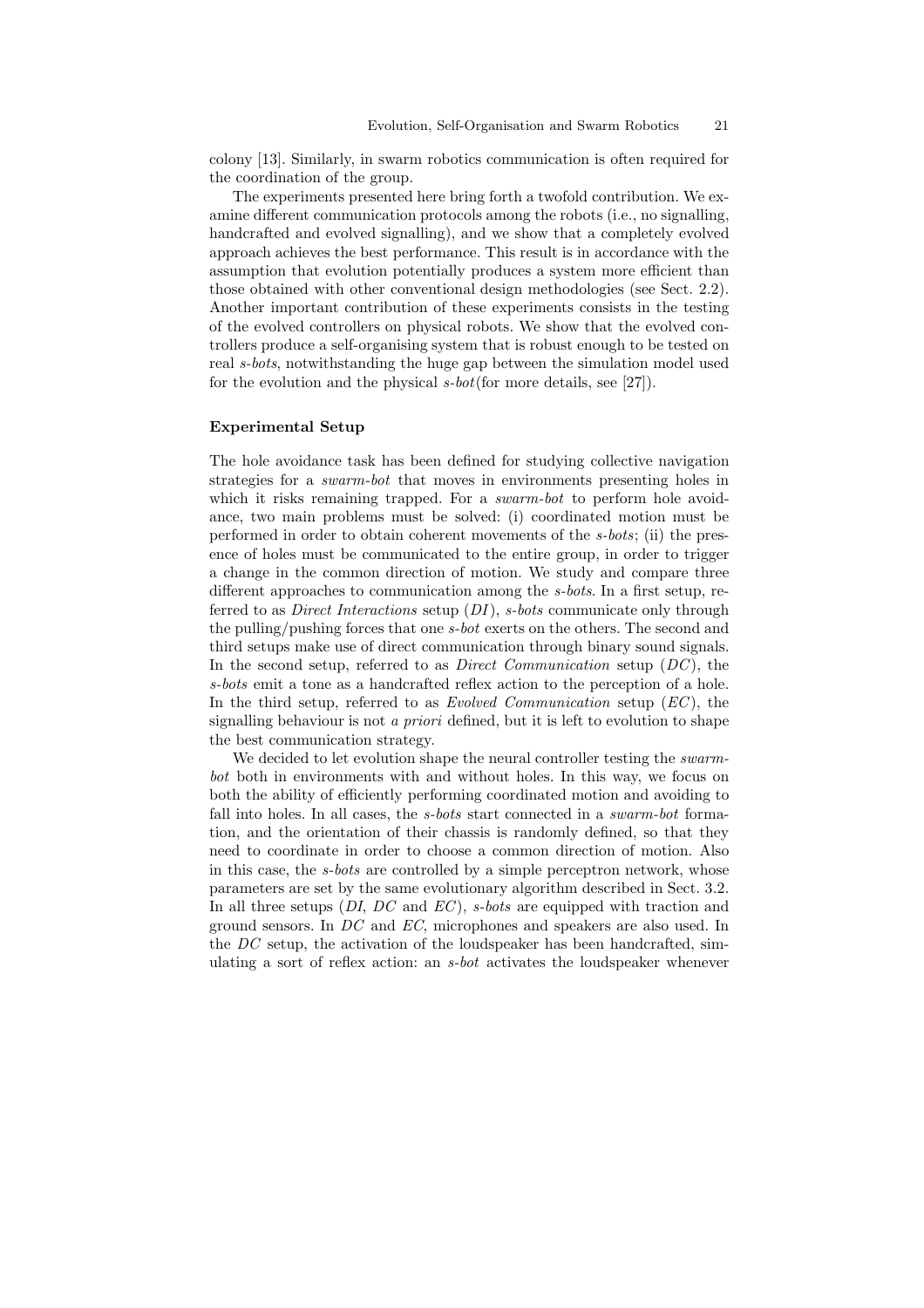colony [13]. Similarly, in swarm robotics communication is often required for the coordination of the group.

The experiments presented here bring forth a twofold contribution. We examine different communication protocols among the robots (i.e., no signalling, handcrafted and evolved signalling), and we show that a completely evolved approach achieves the best performance. This result is in accordance with the assumption that evolution potentially produces a system more efficient than those obtained with other conventional design methodologies (see Sect. 2.2). Another important contribution of these experiments consists in the testing of the evolved controllers on physical robots. We show that the evolved controllers produce a self-organising system that is robust enough to be tested on real s-bots, notwithstanding the huge gap between the simulation model used for the evolution and the physical  $s\text{-}bot$  (for more details, see [27]).

### Experimental Setup

The hole avoidance task has been defined for studying collective navigation strategies for a swarm-bot that moves in environments presenting holes in which it risks remaining trapped. For a *swarm-bot* to perform hole avoidance, two main problems must be solved: (i) coordinated motion must be performed in order to obtain coherent movements of the s-bots; (ii) the presence of holes must be communicated to the entire group, in order to trigger a change in the common direction of motion. We study and compare three different approaches to communication among the s-bots. In a first setup, referred to as Direct Interactions setup (DI), s-bots communicate only through the pulling/pushing forces that one s-bot exerts on the others. The second and third setups make use of direct communication through binary sound signals. In the second setup, referred to as *Direct Communication* setup  $(DC)$ , the s-bots emit a tone as a handcrafted reflex action to the perception of a hole. In the third setup, referred to as *Evolved Communication* setup  $(EC)$ , the signalling behaviour is not a priori defined, but it is left to evolution to shape the best communication strategy.

We decided to let evolution shape the neural controller testing the *swarm*bot both in environments with and without holes. In this way, we focus on both the ability of efficiently performing coordinated motion and avoiding to fall into holes. In all cases, the s-bots start connected in a swarm-bot formation, and the orientation of their chassis is randomly defined, so that they need to coordinate in order to choose a common direction of motion. Also in this case, the s-bots are controlled by a simple perceptron network, whose parameters are set by the same evolutionary algorithm described in Sect. 3.2. In all three setups  $(DI, DC \text{ and } EC)$ , s-bots are equipped with traction and ground sensors. In DC and EC, microphones and speakers are also used. In the  $DC$  setup, the activation of the loudspeaker has been handcrafted, simulating a sort of reflex action: an s-bot activates the loudspeaker whenever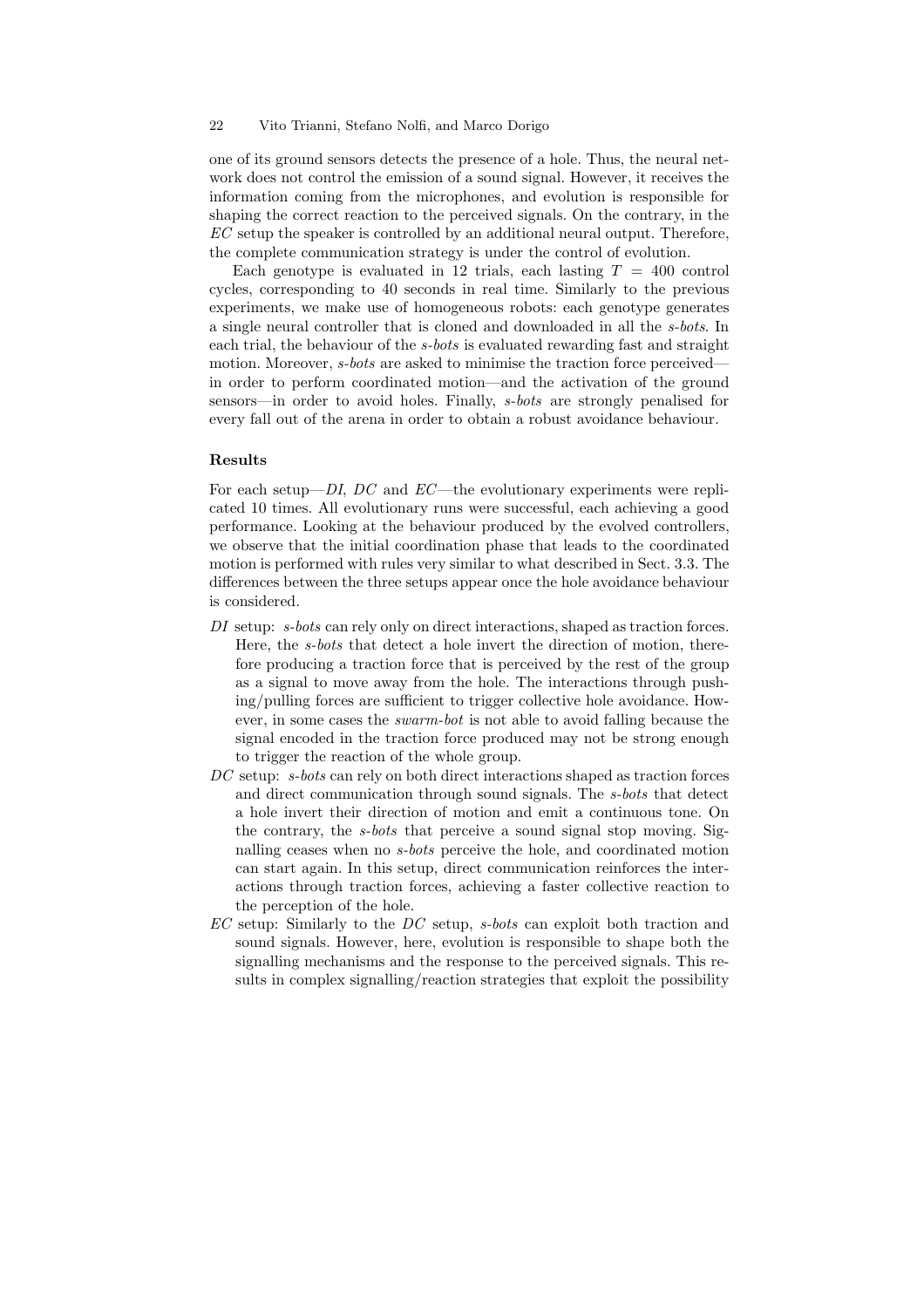one of its ground sensors detects the presence of a hole. Thus, the neural network does not control the emission of a sound signal. However, it receives the information coming from the microphones, and evolution is responsible for shaping the correct reaction to the perceived signals. On the contrary, in the EC setup the speaker is controlled by an additional neural output. Therefore, the complete communication strategy is under the control of evolution.

Each genotype is evaluated in 12 trials, each lasting  $T = 400$  control cycles, corresponding to 40 seconds in real time. Similarly to the previous experiments, we make use of homogeneous robots: each genotype generates a single neural controller that is cloned and downloaded in all the s-bots. In each trial, the behaviour of the s-bots is evaluated rewarding fast and straight motion. Moreover, s-bots are asked to minimise the traction force perceivedin order to perform coordinated motion—and the activation of the ground sensors—in order to avoid holes. Finally, s-bots are strongly penalised for every fall out of the arena in order to obtain a robust avoidance behaviour.

### Results

For each setup— $DI$ ,  $DC$  and  $EC$ —the evolutionary experiments were replicated 10 times. All evolutionary runs were successful, each achieving a good performance. Looking at the behaviour produced by the evolved controllers, we observe that the initial coordination phase that leads to the coordinated motion is performed with rules very similar to what described in Sect. 3.3. The differences between the three setups appear once the hole avoidance behaviour is considered.

- DI setup: s-bots can rely only on direct interactions, shaped as traction forces. Here, the s-bots that detect a hole invert the direction of motion, therefore producing a traction force that is perceived by the rest of the group as a signal to move away from the hole. The interactions through pushing/pulling forces are sufficient to trigger collective hole avoidance. However, in some cases the swarm-bot is not able to avoid falling because the signal encoded in the traction force produced may not be strong enough to trigger the reaction of the whole group.
- DC setup: s-bots can rely on both direct interactions shaped as traction forces and direct communication through sound signals. The s-bots that detect a hole invert their direction of motion and emit a continuous tone. On the contrary, the s-bots that perceive a sound signal stop moving. Signalling ceases when no s-bots perceive the hole, and coordinated motion can start again. In this setup, direct communication reinforces the interactions through traction forces, achieving a faster collective reaction to the perception of the hole.
- EC setup: Similarly to the DC setup, s-bots can exploit both traction and sound signals. However, here, evolution is responsible to shape both the signalling mechanisms and the response to the perceived signals. This results in complex signalling/reaction strategies that exploit the possibility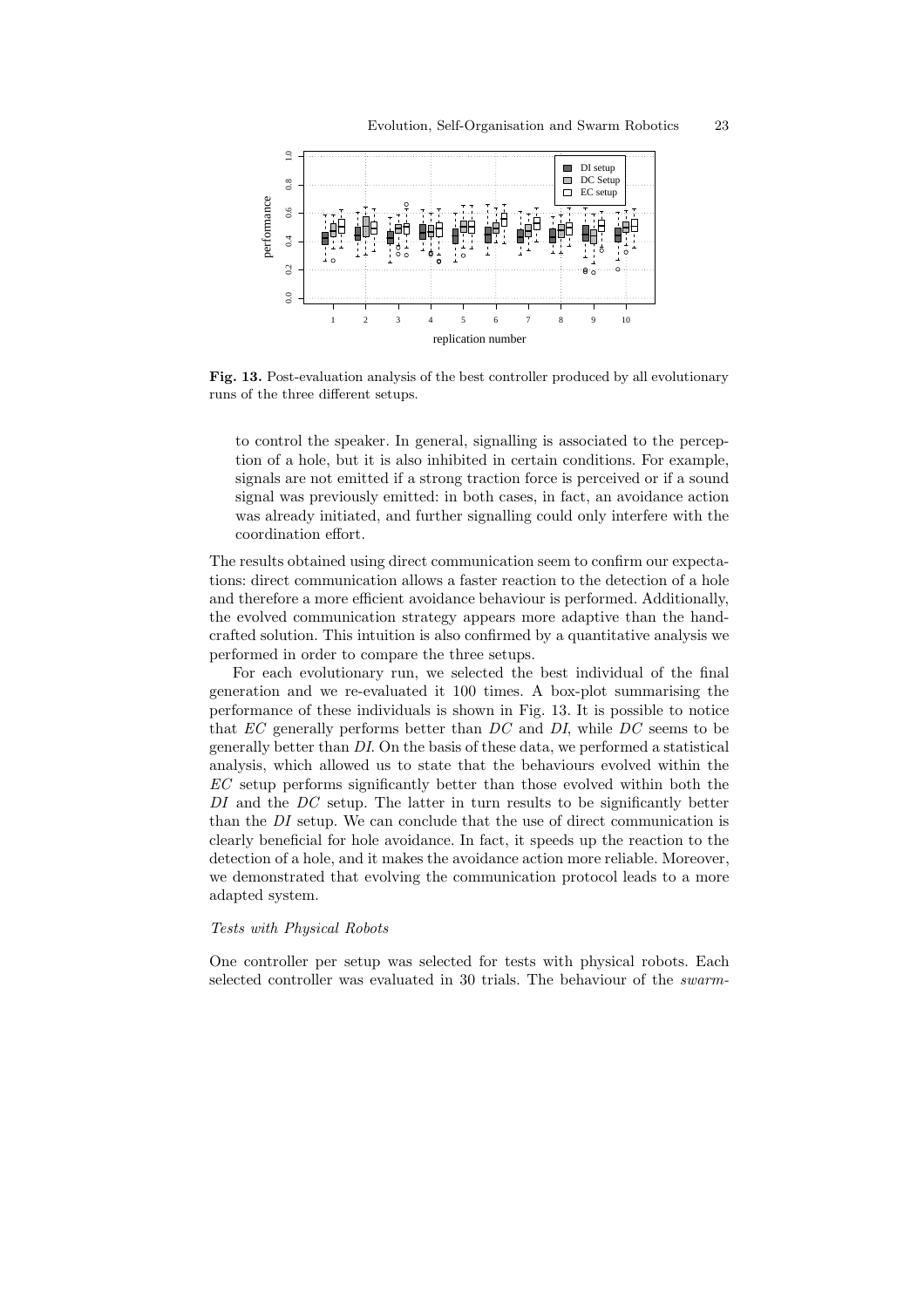

Fig. 13. Post-evaluation analysis of the best controller produced by all evolutionary runs of the three different setups.

to control the speaker. In general, signalling is associated to the perception of a hole, but it is also inhibited in certain conditions. For example, signals are not emitted if a strong traction force is perceived or if a sound signal was previously emitted: in both cases, in fact, an avoidance action was already initiated, and further signalling could only interfere with the coordination effort.

The results obtained using direct communication seem to confirm our expectations: direct communication allows a faster reaction to the detection of a hole and therefore a more efficient avoidance behaviour is performed. Additionally, the evolved communication strategy appears more adaptive than the handcrafted solution. This intuition is also confirmed by a quantitative analysis we performed in order to compare the three setups.

For each evolutionary run, we selected the best individual of the final generation and we re-evaluated it 100 times. A box-plot summarising the performance of these individuals is shown in Fig. 13. It is possible to notice that  $EC$  generally performs better than  $DC$  and  $DI$ , while  $DC$  seems to be generally better than DI. On the basis of these data, we performed a statistical analysis, which allowed us to state that the behaviours evolved within the EC setup performs significantly better than those evolved within both the  $DI$  and the  $DC$  setup. The latter in turn results to be significantly better than the DI setup. We can conclude that the use of direct communication is clearly beneficial for hole avoidance. In fact, it speeds up the reaction to the detection of a hole, and it makes the avoidance action more reliable. Moreover, we demonstrated that evolving the communication protocol leads to a more adapted system.

#### Tests with Physical Robots

One controller per setup was selected for tests with physical robots. Each selected controller was evaluated in 30 trials. The behaviour of the swarm-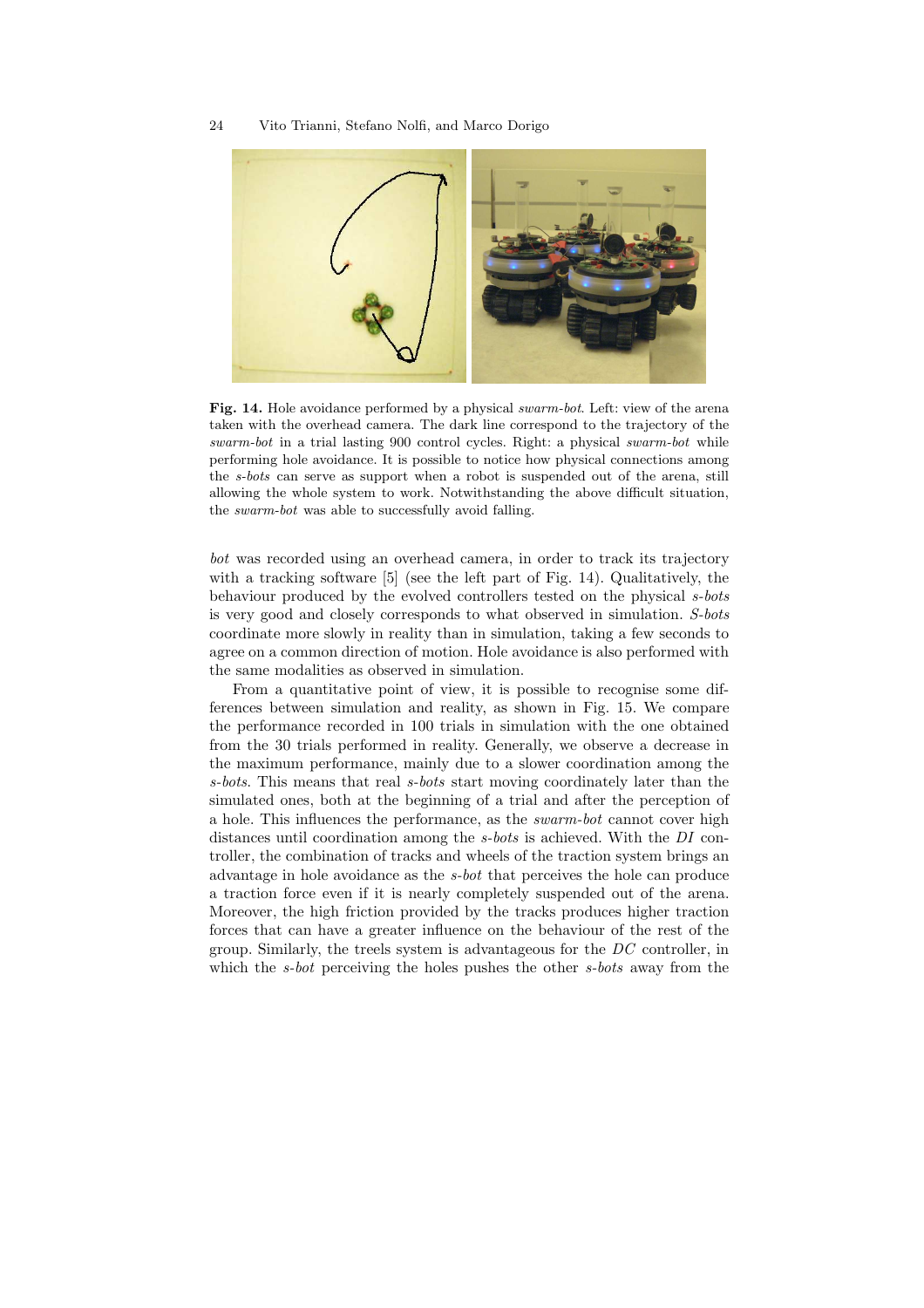

Fig. 14. Hole avoidance performed by a physical swarm-bot. Left: view of the arena taken with the overhead camera. The dark line correspond to the trajectory of the swarm-bot in a trial lasting 900 control cycles. Right: a physical swarm-bot while performing hole avoidance. It is possible to notice how physical connections among the s-bots can serve as support when a robot is suspended out of the arena, still allowing the whole system to work. Notwithstanding the above difficult situation, the swarm-bot was able to successfully avoid falling.

bot was recorded using an overhead camera, in order to track its trajectory with a tracking software [5] (see the left part of Fig. 14). Qualitatively, the behaviour produced by the evolved controllers tested on the physical s-bots is very good and closely corresponds to what observed in simulation. S-bots coordinate more slowly in reality than in simulation, taking a few seconds to agree on a common direction of motion. Hole avoidance is also performed with the same modalities as observed in simulation.

From a quantitative point of view, it is possible to recognise some differences between simulation and reality, as shown in Fig. 15. We compare the performance recorded in 100 trials in simulation with the one obtained from the 30 trials performed in reality. Generally, we observe a decrease in the maximum performance, mainly due to a slower coordination among the s-bots. This means that real s-bots start moving coordinately later than the simulated ones, both at the beginning of a trial and after the perception of a hole. This influences the performance, as the swarm-bot cannot cover high distances until coordination among the s-bots is achieved. With the DI controller, the combination of tracks and wheels of the traction system brings an advantage in hole avoidance as the s-bot that perceives the hole can produce a traction force even if it is nearly completely suspended out of the arena. Moreover, the high friction provided by the tracks produces higher traction forces that can have a greater influence on the behaviour of the rest of the group. Similarly, the treels system is advantageous for the  $DC$  controller, in which the *s-bot* perceiving the holes pushes the other *s-bots* away from the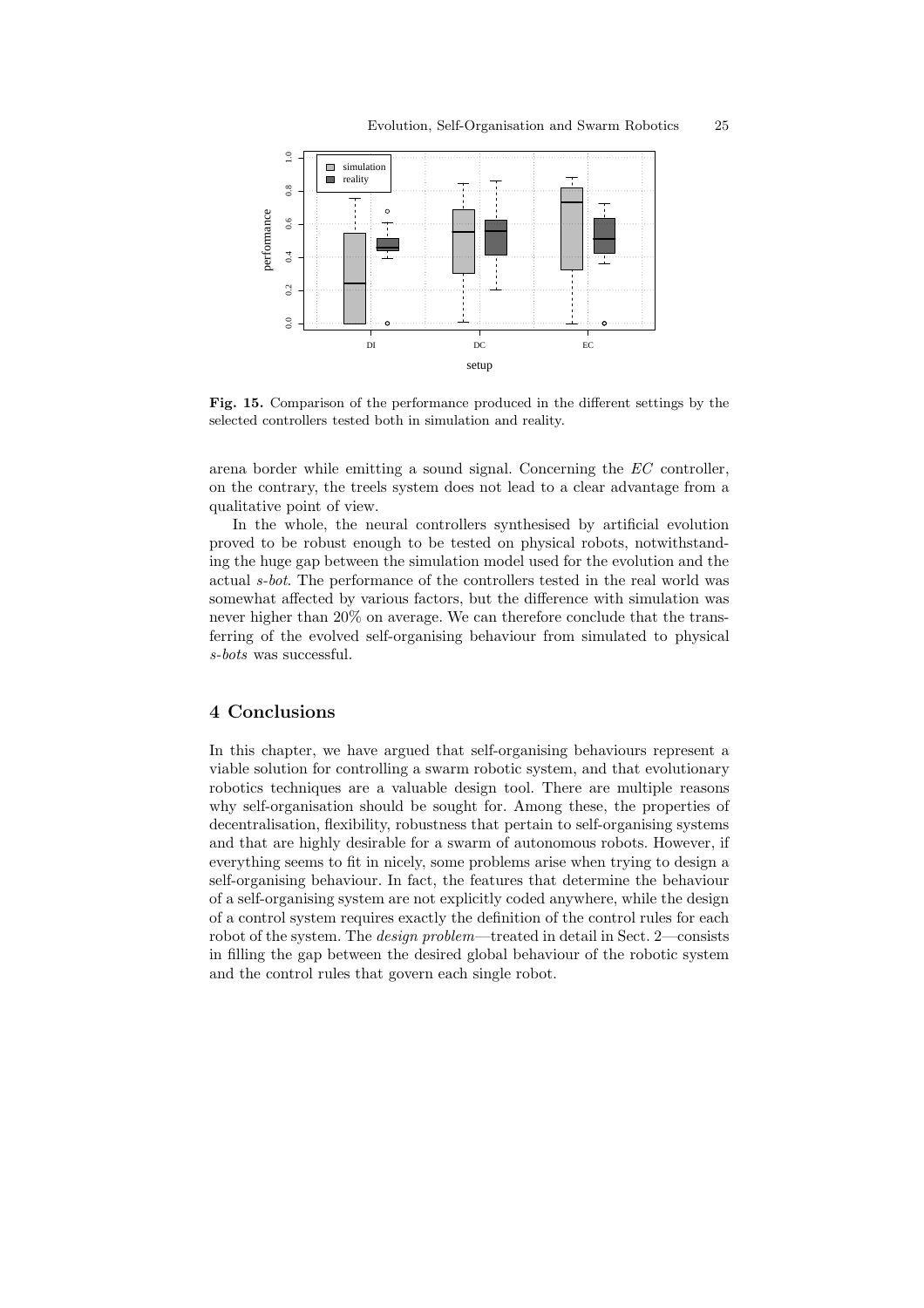

Fig. 15. Comparison of the performance produced in the different settings by the selected controllers tested both in simulation and reality.

arena border while emitting a sound signal. Concerning the EC controller, on the contrary, the treels system does not lead to a clear advantage from a qualitative point of view.

In the whole, the neural controllers synthesised by artificial evolution proved to be robust enough to be tested on physical robots, notwithstanding the huge gap between the simulation model used for the evolution and the actual s-bot. The performance of the controllers tested in the real world was somewhat affected by various factors, but the difference with simulation was never higher than 20% on average. We can therefore conclude that the transferring of the evolved self-organising behaviour from simulated to physical s-bots was successful.

# 4 Conclusions

In this chapter, we have argued that self-organising behaviours represent a viable solution for controlling a swarm robotic system, and that evolutionary robotics techniques are a valuable design tool. There are multiple reasons why self-organisation should be sought for. Among these, the properties of decentralisation, flexibility, robustness that pertain to self-organising systems and that are highly desirable for a swarm of autonomous robots. However, if everything seems to fit in nicely, some problems arise when trying to design a self-organising behaviour. In fact, the features that determine the behaviour of a self-organising system are not explicitly coded anywhere, while the design of a control system requires exactly the definition of the control rules for each robot of the system. The *design problem*—treated in detail in Sect. 2—consists in filling the gap between the desired global behaviour of the robotic system and the control rules that govern each single robot.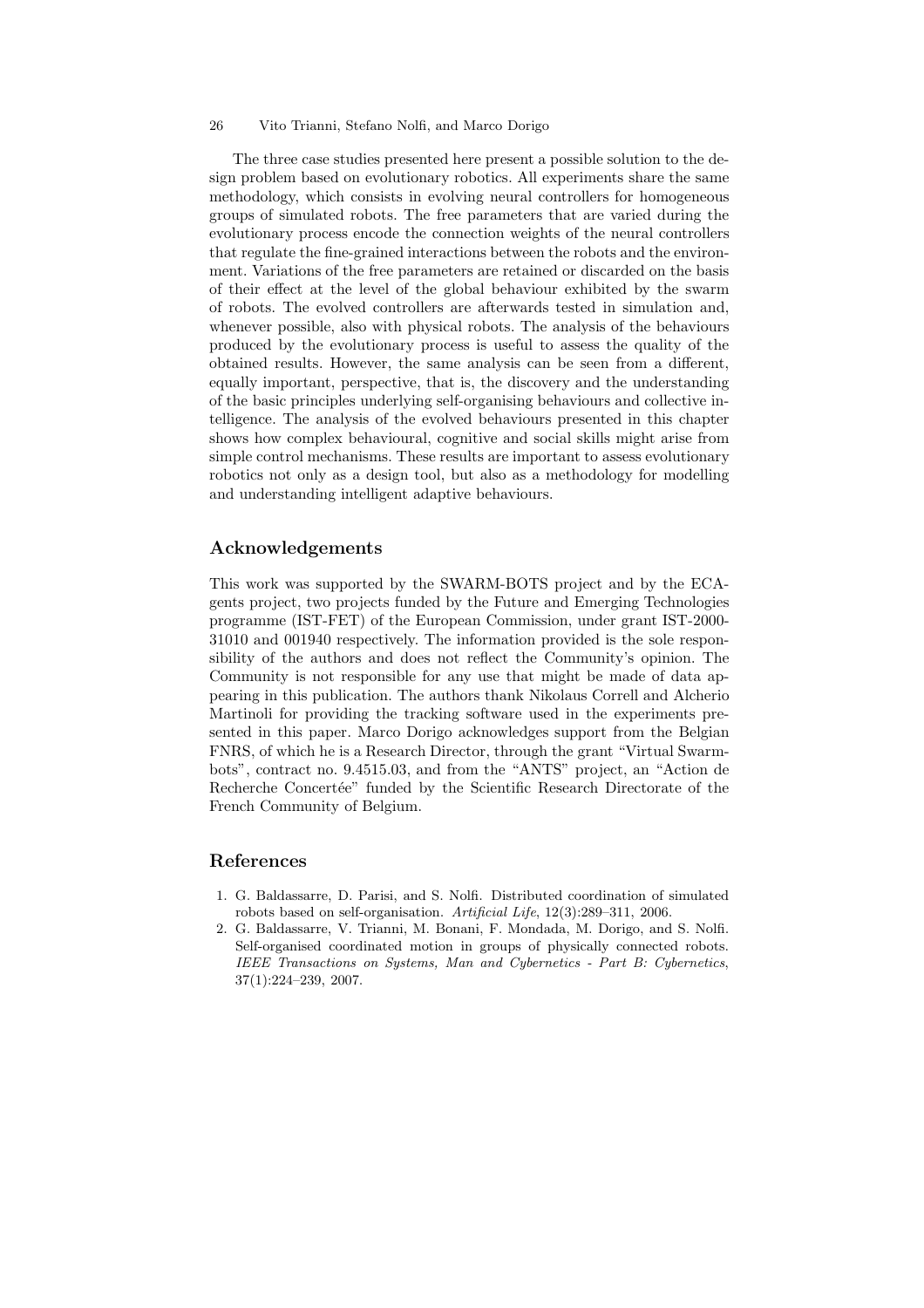The three case studies presented here present a possible solution to the design problem based on evolutionary robotics. All experiments share the same methodology, which consists in evolving neural controllers for homogeneous groups of simulated robots. The free parameters that are varied during the evolutionary process encode the connection weights of the neural controllers that regulate the fine-grained interactions between the robots and the environment. Variations of the free parameters are retained or discarded on the basis of their effect at the level of the global behaviour exhibited by the swarm of robots. The evolved controllers are afterwards tested in simulation and, whenever possible, also with physical robots. The analysis of the behaviours produced by the evolutionary process is useful to assess the quality of the obtained results. However, the same analysis can be seen from a different, equally important, perspective, that is, the discovery and the understanding of the basic principles underlying self-organising behaviours and collective intelligence. The analysis of the evolved behaviours presented in this chapter shows how complex behavioural, cognitive and social skills might arise from simple control mechanisms. These results are important to assess evolutionary robotics not only as a design tool, but also as a methodology for modelling and understanding intelligent adaptive behaviours.

# Acknowledgements

This work was supported by the SWARM-BOTS project and by the ECAgents project, two projects funded by the Future and Emerging Technologies programme (IST-FET) of the European Commission, under grant IST-2000- 31010 and 001940 respectively. The information provided is the sole responsibility of the authors and does not reflect the Community's opinion. The Community is not responsible for any use that might be made of data appearing in this publication. The authors thank Nikolaus Correll and Alcherio Martinoli for providing the tracking software used in the experiments presented in this paper. Marco Dorigo acknowledges support from the Belgian FNRS, of which he is a Research Director, through the grant "Virtual Swarmbots", contract no. 9.4515.03, and from the "ANTS" project, an "Action de Recherche Concertée" funded by the Scientific Research Directorate of the French Community of Belgium.

# References

- 1. G. Baldassarre, D. Parisi, and S. Nolfi. Distributed coordination of simulated robots based on self-organisation. Artificial Life, 12(3):289–311, 2006.
- 2. G. Baldassarre, V. Trianni, M. Bonani, F. Mondada, M. Dorigo, and S. Nolfi. Self-organised coordinated motion in groups of physically connected robots. IEEE Transactions on Systems, Man and Cybernetics - Part B: Cybernetics, 37(1):224–239, 2007.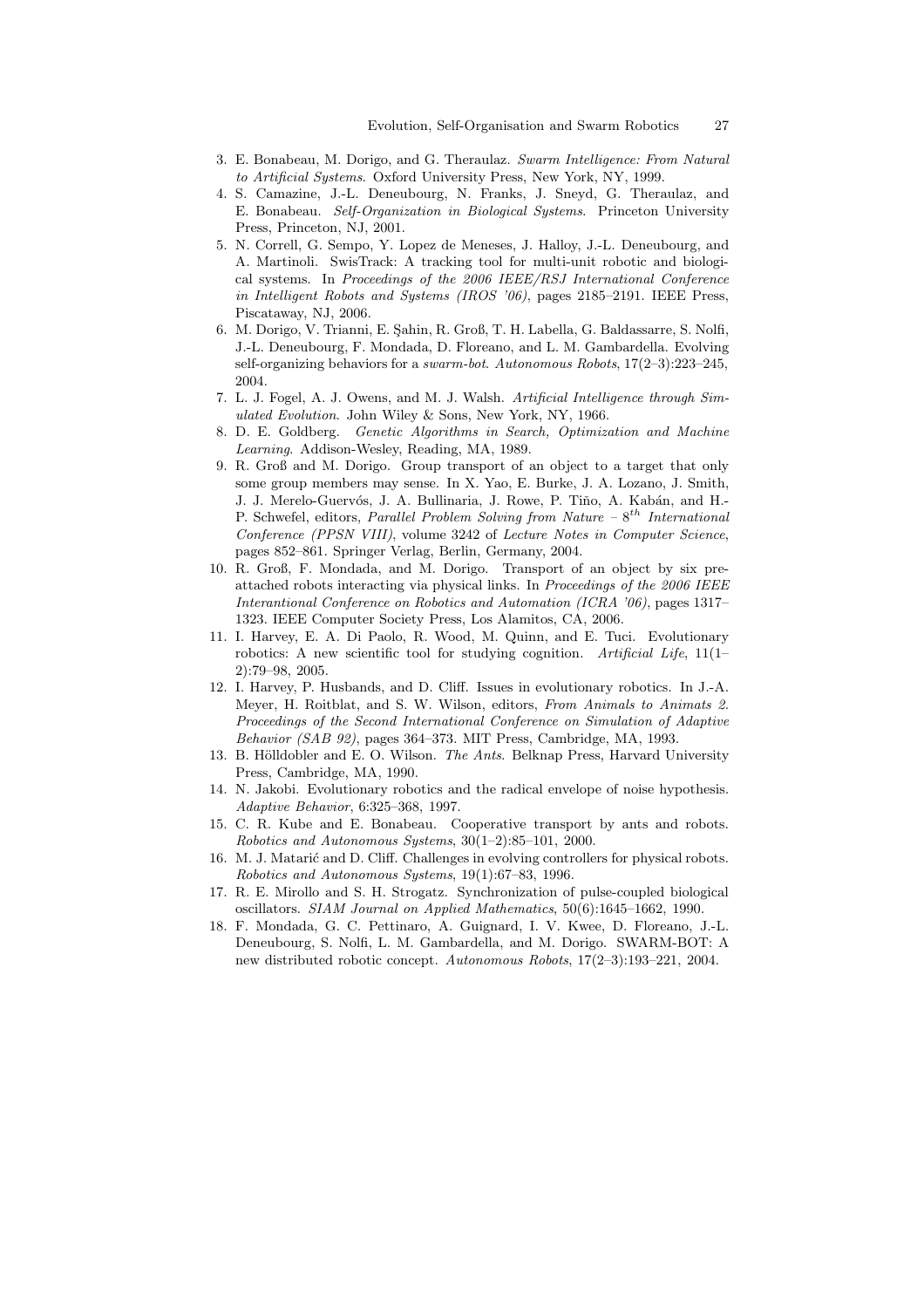- 3. E. Bonabeau, M. Dorigo, and G. Theraulaz. Swarm Intelligence: From Natural to Artificial Systems. Oxford University Press, New York, NY, 1999.
- 4. S. Camazine, J.-L. Deneubourg, N. Franks, J. Sneyd, G. Theraulaz, and E. Bonabeau. Self-Organization in Biological Systems. Princeton University Press, Princeton, NJ, 2001.
- 5. N. Correll, G. Sempo, Y. Lopez de Meneses, J. Halloy, J.-L. Deneubourg, and A. Martinoli. SwisTrack: A tracking tool for multi-unit robotic and biological systems. In Proceedings of the 2006 IEEE/RSJ International Conference in Intelligent Robots and Systems (IROS '06), pages 2185–2191. IEEE Press, Piscataway, NJ, 2006.
- 6. M. Dorigo, V. Trianni, E. Şahin, R. Groß, T. H. Labella, G. Baldassarre, S. Nolfi, J.-L. Deneubourg, F. Mondada, D. Floreano, and L. M. Gambardella. Evolving self-organizing behaviors for a swarm-bot. Autonomous Robots, 17(2–3):223–245, 2004.
- 7. L. J. Fogel, A. J. Owens, and M. J. Walsh. Artificial Intelligence through Simulated Evolution. John Wiley & Sons, New York, NY, 1966.
- 8. D. E. Goldberg. Genetic Algorithms in Search, Optimization and Machine Learning. Addison-Wesley, Reading, MA, 1989.
- 9. R. Groß and M. Dorigo. Group transport of an object to a target that only some group members may sense. In X. Yao, E. Burke, J. A. Lozano, J. Smith, J. J. Merelo-Guervós, J. A. Bullinaria, J. Rowe, P. Tiňo, A. Kabán, and H.-P. Schwefel, editors, Parallel Problem Solving from Nature  $-8^{th}$  International Conference (PPSN VIII), volume 3242 of Lecture Notes in Computer Science, pages 852–861. Springer Verlag, Berlin, Germany, 2004.
- 10. R. Groß, F. Mondada, and M. Dorigo. Transport of an object by six preattached robots interacting via physical links. In Proceedings of the 2006 IEEE Interantional Conference on Robotics and Automation (ICRA '06), pages 1317– 1323. IEEE Computer Society Press, Los Alamitos, CA, 2006.
- 11. I. Harvey, E. A. Di Paolo, R. Wood, M. Quinn, and E. Tuci. Evolutionary robotics: A new scientific tool for studying cognition. Artificial Life,  $11(1-$ 2):79–98, 2005.
- 12. I. Harvey, P. Husbands, and D. Cliff. Issues in evolutionary robotics. In J.-A. Meyer, H. Roitblat, and S. W. Wilson, editors, From Animals to Animats 2. Proceedings of the Second International Conference on Simulation of Adaptive Behavior (SAB 92), pages 364–373. MIT Press, Cambridge, MA, 1993.
- 13. B. Hölldobler and E. O. Wilson. The Ants. Belknap Press, Harvard University Press, Cambridge, MA, 1990.
- 14. N. Jakobi. Evolutionary robotics and the radical envelope of noise hypothesis. Adaptive Behavior, 6:325–368, 1997.
- 15. C. R. Kube and E. Bonabeau. Cooperative transport by ants and robots. Robotics and Autonomous Systems, 30(1–2):85–101, 2000.
- 16. M. J. Matarić and D. Cliff. Challenges in evolving controllers for physical robots. Robotics and Autonomous Systems, 19(1):67–83, 1996.
- 17. R. E. Mirollo and S. H. Strogatz. Synchronization of pulse-coupled biological oscillators. SIAM Journal on Applied Mathematics, 50(6):1645–1662, 1990.
- 18. F. Mondada, G. C. Pettinaro, A. Guignard, I. V. Kwee, D. Floreano, J.-L. Deneubourg, S. Nolfi, L. M. Gambardella, and M. Dorigo. SWARM-BOT: A new distributed robotic concept. Autonomous Robots, 17(2–3):193–221, 2004.